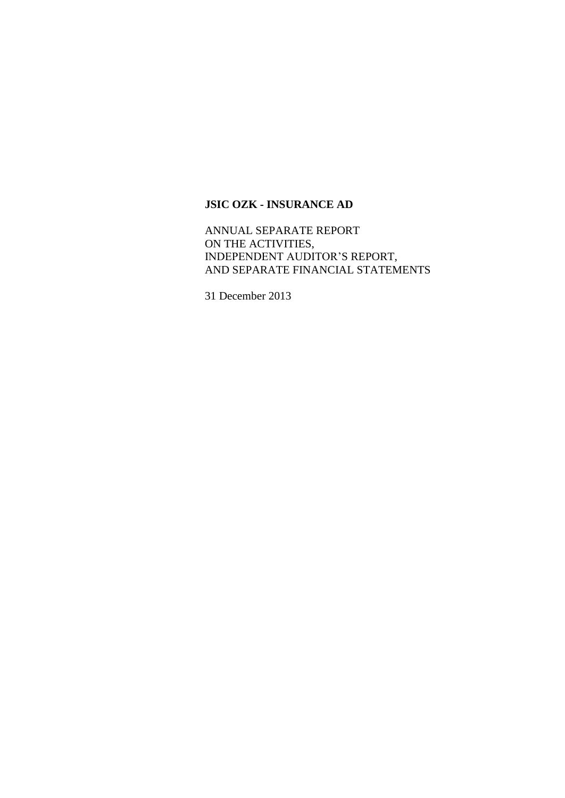ANNUAL SEPARATE REPORT ON THE ACTIVITIES, INDEPENDENT AUDITOR'S REPORT, AND SEPARATE FINANCIAL STATEMENTS

31 December 2013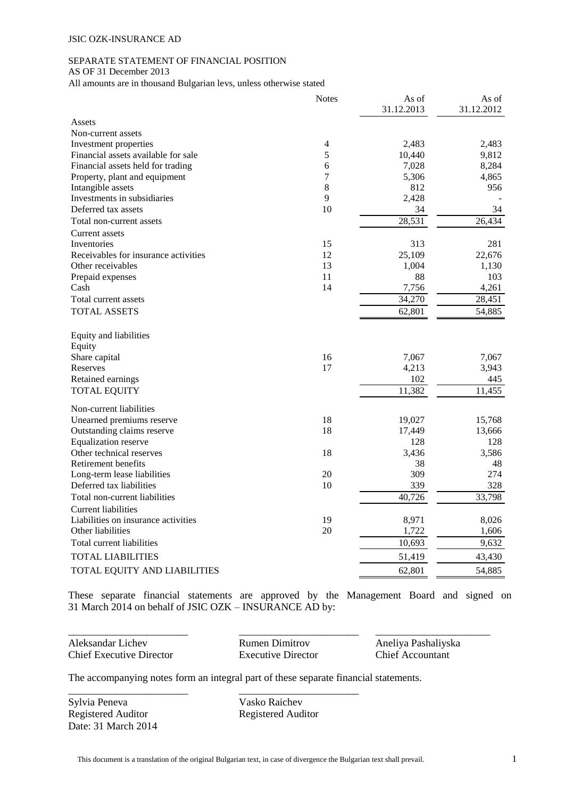## SEPARATE STATEMENT OF FINANCIAL POSITION

AS OF 31 December 2013

All amounts are in thousand Bulgarian levs, unless otherwise stated

|                                      | <b>Notes</b> | As of      | As of      |
|--------------------------------------|--------------|------------|------------|
| Assets                               |              | 31.12.2013 | 31.12.2012 |
| Non-current assets                   |              |            |            |
| Investment properties                | 4            | 2,483      | 2,483      |
| Financial assets available for sale  | 5            | 10,440     | 9,812      |
| Financial assets held for trading    | 6            | 7,028      | 8,284      |
| Property, plant and equipment        | 7            | 5,306      | 4,865      |
| Intangible assets                    | 8            | 812        | 956        |
| Investments in subsidiaries          | 9            | 2,428      |            |
| Deferred tax assets                  | 10           | 34         | 34         |
| Total non-current assets             |              | 28,531     | 26,434     |
| Current assets                       |              |            |            |
| Inventories                          | 15           | 313        | 281        |
| Receivables for insurance activities | 12           | 25,109     | 22,676     |
| Other receivables                    | 13           | 1,004      | 1,130      |
| Prepaid expenses                     | 11           | 88         | 103        |
| Cash                                 | 14           | 7,756      | 4,261      |
| Total current assets                 |              | 34,270     | 28,451     |
| <b>TOTAL ASSETS</b>                  |              | 62,801     | 54,885     |
| Equity and liabilities               |              |            |            |
| Equity                               |              |            |            |
| Share capital                        | 16           | 7,067      | 7,067      |
| Reserves                             | 17           | 4,213      | 3,943      |
| Retained earnings                    |              | 102        | 445        |
| <b>TOTAL EQUITY</b>                  |              | 11,382     | 11,455     |
| Non-current liabilities              |              |            |            |
| Unearned premiums reserve            | 18           | 19,027     | 15,768     |
| Outstanding claims reserve           | 18           | 17,449     | 13,666     |
| <b>Equalization reserve</b>          |              | 128        | 128        |
| Other technical reserves             | 18           | 3,436      | 3,586      |
| Retirement benefits                  |              | 38         | 48         |
| Long-term lease liabilities          | 20           | 309        | 274        |
| Deferred tax liabilities             | 10           | 339        | 328        |
| Total non-current liabilities        |              | 40,726     | 33,798     |
| <b>Current liabilities</b>           |              |            |            |
| Liabilities on insurance activities  | 19           | 8,971      | 8,026      |
| Other liabilities                    | 20           | 1,722      | 1,606      |
| Total current liabilities            |              | 10,693     | 9,632      |
| TOTAL LIABILITIES                    |              | 51,419     | 43,430     |
| TOTAL EQUITY AND LIABILITIES         |              | 62,801     | 54,885     |

These separate financial statements are approved by the Management Board and signed on 31 March 2014 on behalf of JSIC OZK – INSURANCE AD by:

Aleksandar Lichev Rumen Dimitrov Aneliya Pashaliyska Chief Executive Director Executive Director Chief Accountant

\_\_\_\_\_\_\_\_\_\_\_\_\_\_\_\_\_\_\_\_\_\_\_ \_\_\_\_\_\_\_\_\_\_\_\_\_\_\_\_\_\_\_\_\_\_\_ \_\_\_\_\_\_\_\_\_\_\_\_\_\_\_\_\_\_\_\_\_\_

The accompanying notes form an integral part of these separate financial statements.

\_\_\_\_\_\_\_\_\_\_\_\_\_\_\_\_\_\_\_\_\_\_\_ \_\_\_\_\_\_\_\_\_\_\_\_\_\_\_\_\_\_\_\_\_\_\_

Sylvia Peneva<br>
Vasko Raichev Registered Auditor Registered Auditor Date: 31 March 2014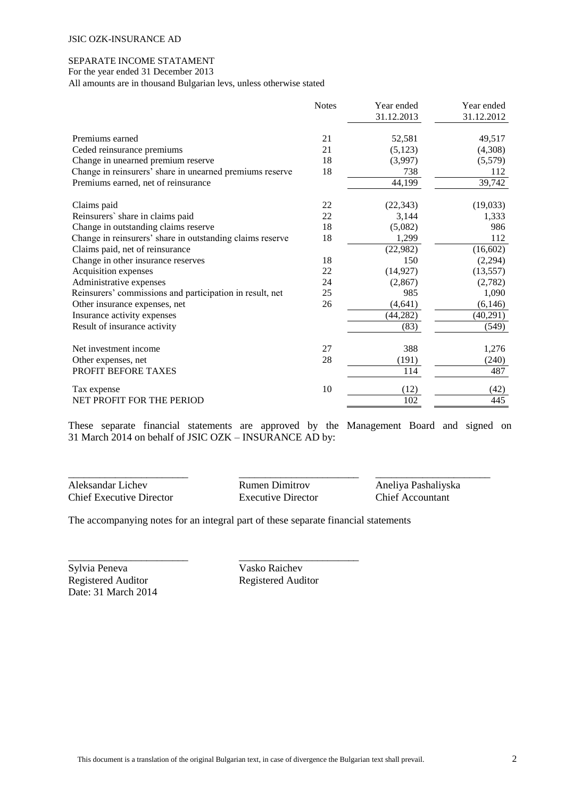#### SEPARATE INCOME STATAMENT

For the year ended 31 December 2013

All amounts are in thousand Bulgarian levs, unless otherwise stated

|                                                           | <b>Notes</b> | Year ended | Year ended |
|-----------------------------------------------------------|--------------|------------|------------|
|                                                           |              | 31.12.2013 | 31.12.2012 |
| Premiums earned                                           | 21           | 52,581     | 49,517     |
| Ceded reinsurance premiums                                | 21           | (5, 123)   | (4,308)    |
| Change in unearned premium reserve                        | 18           | (3,997)    | (5,579)    |
| Change in reinsurers' share in unearned premiums reserve  | 18           | 738        | 112        |
| Premiums earned, net of reinsurance                       |              | 44,199     | 39,742     |
| Claims paid                                               | 22           | (22, 343)  | (19,033)   |
| Reinsurers' share in claims paid                          | 22           | 3,144      | 1,333      |
| Change in outstanding claims reserve                      | 18           | (5,082)    | 986        |
| Change in reinsurers' share in outstanding claims reserve | 18           | 1,299      | 112        |
| Claims paid, net of reinsurance                           |              | (22,982)   | (16, 602)  |
| Change in other insurance reserves                        | 18           | 150        | (2,294)    |
| Acquisition expenses                                      | 22           | (14, 927)  | (13, 557)  |
| Administrative expenses                                   | 24           | (2, 867)   | (2,782)    |
| Reinsurers' commissions and participation in result, net  | 25           | 985        | 1,090      |
| Other insurance expenses, net                             | 26           | (4, 641)   | (6, 146)   |
| Insurance activity expenses                               |              | (44, 282)  | (40,291)   |
| Result of insurance activity                              |              | (83)       | (549)      |
| Net investment income                                     | 27           | 388        | 1,276      |
| Other expenses, net                                       | 28           | (191)      | (240)      |
| PROFIT BEFORE TAXES                                       |              | 114        | 487        |
| Tax expense                                               | 10           | (12)       | (42)       |
| NET PROFIT FOR THE PERIOD                                 |              | 102        | 445        |

These separate financial statements are approved by the Management Board and signed on 31 March 2014 on behalf of JSIC OZK – INSURANCE AD by:

\_\_\_\_\_\_\_\_\_\_\_\_\_\_\_\_\_\_\_\_\_\_\_ \_\_\_\_\_\_\_\_\_\_\_\_\_\_\_\_\_\_\_\_\_\_\_ \_\_\_\_\_\_\_\_\_\_\_\_\_\_\_\_\_\_\_\_\_\_ Aleksandar Lichev Rumen Dimitrov Aneliya Pashaliyska Chief Executive Director Executive Director Chief Accountant

The accompanying notes for an integral part of these separate financial statements

\_\_\_\_\_\_\_\_\_\_\_\_\_\_\_\_\_\_\_\_\_\_\_ \_\_\_\_\_\_\_\_\_\_\_\_\_\_\_\_\_\_\_\_\_\_\_

Sylvia Peneva<br>
Vasko Raichev Registered Auditor Registered Auditor Date: 31 March 2014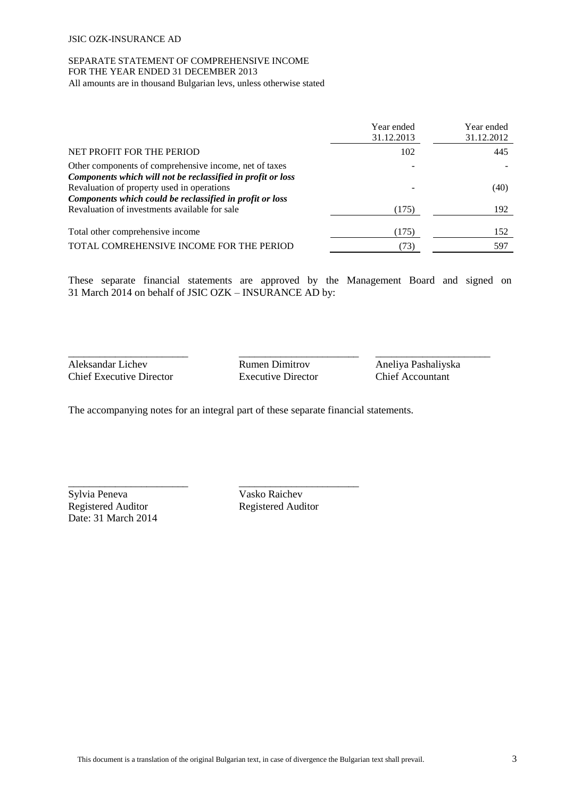# SEPARATE STATEMENT OF COMPREHENSIVE INCOME FOR THE YEAR ENDED 31 DECEMBER 2013

All amounts are in thousand Bulgarian levs, unless otherwise stated

|                                                                                                                       | Year ended<br>31.12.2013 | Year ended<br>31.12.2012 |
|-----------------------------------------------------------------------------------------------------------------------|--------------------------|--------------------------|
| NET PROFIT FOR THE PERIOD                                                                                             | 102                      | 445                      |
| Other components of comprehensive income, net of taxes<br>Components which will not be reclassified in profit or loss |                          |                          |
| Revaluation of property used in operations<br>Components which could be reclassified in profit or loss                |                          | (40)                     |
| Revaluation of investments available for sale                                                                         | (175)                    | 192                      |
| Total other comprehensive income                                                                                      | (175)                    | 152                      |
| TOTAL COMREHENSIVE INCOME FOR THE PERIOD                                                                              | (73)                     | 597                      |

These separate financial statements are approved by the Management Board and signed on 31 March 2014 on behalf of JSIC OZK – INSURANCE AD by:

Aleksandar Lichev Rumen Dimitrov Aneliya Pashaliyska Chief Executive Director Executive Director Chief Accountant

\_\_\_\_\_\_\_\_\_\_\_\_\_\_\_\_\_\_\_\_\_\_\_ \_\_\_\_\_\_\_\_\_\_\_\_\_\_\_\_\_\_\_\_\_\_\_ \_\_\_\_\_\_\_\_\_\_\_\_\_\_\_\_\_\_\_\_\_\_

The accompanying notes for an integral part of these separate financial statements.

\_\_\_\_\_\_\_\_\_\_\_\_\_\_\_\_\_\_\_\_\_\_\_ \_\_\_\_\_\_\_\_\_\_\_\_\_\_\_\_\_\_\_\_\_\_\_

Sylvia Peneva<br>Vasko Raichev Registered Auditor Registered Auditor Date: 31 March 2014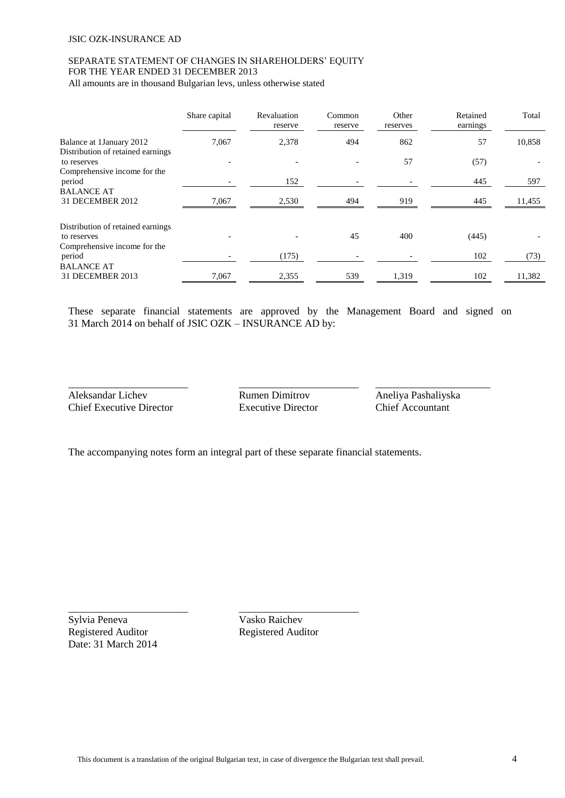# SEPARATE STATEMENT OF CHANGES IN SHAREHOLDERS' EQUITY FOR THE YEAR ENDED 31 DECEMBER 2013

All amounts are in thousand Bulgarian levs, unless otherwise stated

|                                                                                  | Share capital | Revaluation<br>reserve | Common<br>reserve | Other<br>reserves | Retained<br>earnings | Total  |
|----------------------------------------------------------------------------------|---------------|------------------------|-------------------|-------------------|----------------------|--------|
| Balance at 1 January 2012<br>Distribution of retained earnings                   | 7,067         | 2,378                  | 494               | 862               | 57                   | 10,858 |
| to reserves<br>Comprehensive income for the                                      |               |                        |                   | 57                | (57)                 |        |
| period                                                                           |               | 152                    |                   |                   | 445                  | 597    |
| <b>BALANCE AT</b><br>31 DECEMBER 2012                                            | 7,067         | 2,530                  | 494               | 919               | 445                  | 11,455 |
| Distribution of retained earnings<br>to reserves<br>Comprehensive income for the |               |                        | 45                | 400               | (445)                |        |
| period                                                                           |               | (175)                  |                   |                   | 102                  | (73)   |
| <b>BALANCE AT</b><br>31 DECEMBER 2013                                            | 7,067         | 2,355                  | 539               | 1,319             | 102                  | 11,382 |

These separate financial statements are approved by the Management Board and signed on 31 March 2014 on behalf of JSIC OZK – INSURANCE AD by:

Aleksandar Lichev Rumen Dimitrov Aneliya Pashaliyska Chief Executive Director Executive Director Chief Accountant

\_\_\_\_\_\_\_\_\_\_\_\_\_\_\_\_\_\_\_\_\_\_\_ \_\_\_\_\_\_\_\_\_\_\_\_\_\_\_\_\_\_\_\_\_\_\_ \_\_\_\_\_\_\_\_\_\_\_\_\_\_\_\_\_\_\_\_\_\_

The accompanying notes form an integral part of these separate financial statements.

\_\_\_\_\_\_\_\_\_\_\_\_\_\_\_\_\_\_\_\_\_\_\_ \_\_\_\_\_\_\_\_\_\_\_\_\_\_\_\_\_\_\_\_\_\_\_

Sylvia Peneva Vasko Raichev Registered Auditor Registered Auditor Date: 31 March 2014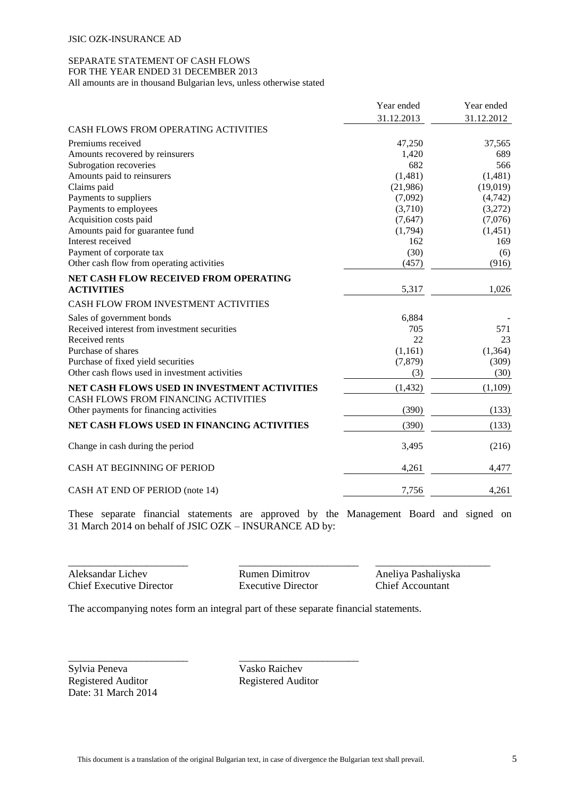#### SEPARATE STATEMENT OF CASH FLOWS FOR THE YEAR ENDED 31 DECEMBER 2013

All amounts are in thousand Bulgarian levs, unless otherwise stated

|                                                | Year ended | Year ended |
|------------------------------------------------|------------|------------|
|                                                | 31.12.2013 | 31.12.2012 |
| <b>CASH FLOWS FROM OPERATING ACTIVITIES</b>    |            |            |
| Premiums received                              | 47,250     | 37,565     |
| Amounts recovered by reinsurers                | 1,420      | 689        |
| Subrogation recoveries                         | 682        | 566        |
| Amounts paid to reinsurers                     | (1,481)    | (1,481)    |
| Claims paid                                    | (21,986)   | (19,019)   |
| Payments to suppliers                          | (7,092)    | (4,742)    |
| Payments to employees                          | (3,710)    | (3,272)    |
| Acquisition costs paid                         | (7,647)    | (7,076)    |
| Amounts paid for guarantee fund                | (1,794)    | (1,451)    |
| Interest received                              | 162        | 169        |
| Payment of corporate tax                       | (30)       | (6)        |
| Other cash flow from operating activities      | (457)      | (916)      |
| NET CASH FLOW RECEIVED FROM OPERATING          |            |            |
| <b>ACTIVITIES</b>                              | 5,317      | 1,026      |
| CASH FLOW FROM INVESTMENT ACTIVITIES           |            |            |
| Sales of government bonds                      | 6,884      |            |
| Received interest from investment securities   | 705        | 571        |
| Received rents                                 | 22         | 23         |
| Purchase of shares                             | (1,161)    | (1, 364)   |
| Purchase of fixed yield securities             | (7, 879)   | (309)      |
| Other cash flows used in investment activities | (3)        | (30)       |
| NET CASH FLOWS USED IN INVESTMENT ACTIVITIES   | (1, 432)   | (1,109)    |
| CASH FLOWS FROM FINANCING ACTIVITIES           |            |            |
| Other payments for financing activities        | (390)      | (133)      |
| NET CASH FLOWS USED IN FINANCING ACTIVITIES    | (390)      | (133)      |
| Change in cash during the period               | 3,495      | (216)      |
| CASH AT BEGINNING OF PERIOD                    | 4,261      | 4,477      |
| CASH AT END OF PERIOD (note 14)                | 7,756      | 4,261      |

These separate financial statements are approved by the Management Board and signed on 31 March 2014 on behalf of JSIC OZK – INSURANCE AD by:

Aleksandar Lichev Rumen Dimitrov Aneliya Pashaliyska Chief Executive Director Executive Director Chief Accountant

\_\_\_\_\_\_\_\_\_\_\_\_\_\_\_\_\_\_\_\_\_\_\_ \_\_\_\_\_\_\_\_\_\_\_\_\_\_\_\_\_\_\_\_\_\_\_ \_\_\_\_\_\_\_\_\_\_\_\_\_\_\_\_\_\_\_\_\_\_

The accompanying notes form an integral part of these separate financial statements.

\_\_\_\_\_\_\_\_\_\_\_\_\_\_\_\_\_\_\_\_\_\_\_ \_\_\_\_\_\_\_\_\_\_\_\_\_\_\_\_\_\_\_\_\_\_\_

Sylvia Peneva<br>
Vasko Raichev Registered Auditor Registered Auditor Date: 31 March 2014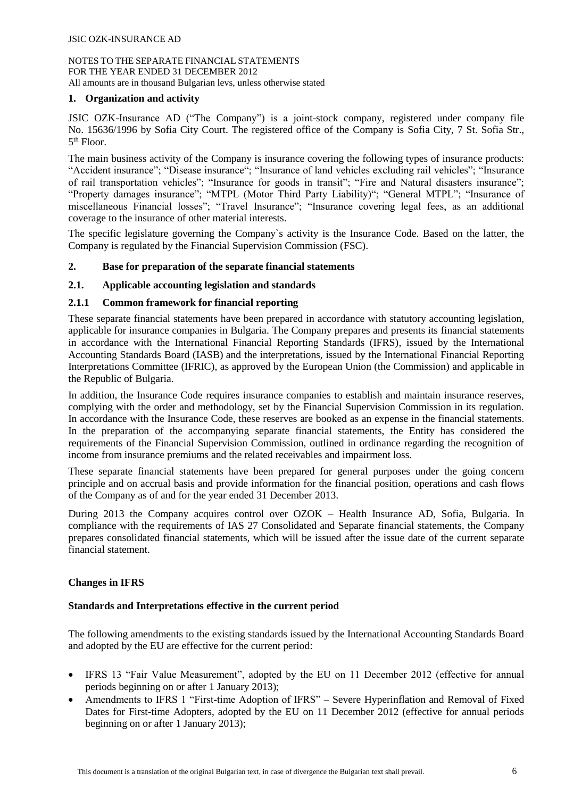# **1. Organization and activity**

JSIC OZK-Insurance AD ("The Company") is a joint-stock company, registered under company file No. 15636/1996 by Sofia City Court. The registered office of the Company is Sofia City, 7 St. Sofia Str., 5 th Floor.

The main business activity of the Company is insurance covering the following types of insurance products: "Accident insurance"; "Disease insurance"; "Insurance of land vehicles excluding rail vehicles"; "Insurance of rail transportation vehicles"; "Insurance for goods in transit"; "Fire and Natural disasters insurance"; "Property damages insurance"; "MTPL (Motor Third Party Liability)"; "General MTPL"; "Insurance of miscellaneous Financial losses"; "Travel Insurance"; "Insurance covering legal fees, as an additional coverage to the insurance of other material interests.

The specific legislature governing the Company`s activity is the Insurance Code. Based on the latter, the Company is regulated by the Financial Supervision Commission (FSC).

# **2. Base for preparation of the separate financial statements**

# **2.1. Applicable accounting legislation and standards**

## **2.1.1 Common framework for financial reporting**

These separate financial statements have been prepared in accordance with statutory accounting legislation, applicable for insurance companies in Bulgaria. The Company prepares and presents its financial statements in accordance with the International Financial Reporting Standards (IFRS), issued by the International Accounting Standards Board (IASB) and the interpretations, issued by the International Financial Reporting Interpretations Committee (IFRIC), as approved by the European Union (the Commission) and applicable in the Republic of Bulgaria.

In addition, the Insurance Code requires insurance companies to establish and maintain insurance reserves, complying with the order and methodology, set by the Financial Supervision Commission in its regulation. In accordance with the Insurance Code, these reserves are booked as an expense in the financial statements. In the preparation of the accompanying separate financial statements, the Entity has considered the requirements of the Financial Supervision Commission, outlined in ordinance regarding the recognition of income from insurance premiums and the related receivables and impairment loss.

These separate financial statements have been prepared for general purposes under the going concern principle and on accrual basis and provide information for the financial position, operations and cash flows of the Company as of and for the year ended 31 December 2013.

During 2013 the Company acquires control over OZOK – Health Insurance AD, Sofia, Bulgaria. In compliance with the requirements of IAS 27 Consolidated and Separate financial statements, the Company prepares consolidated financial statements, which will be issued after the issue date of the current separate financial statement.

## **Changes in IFRS**

## **Standards and Interpretations effective in the current period**

The following amendments to the existing standards issued by the International Accounting Standards Board and adopted by the EU are effective for the current period:

- IFRS 13 "Fair Value Measurement", adopted by the EU on 11 December 2012 (effective for annual periods beginning on or after 1 January 2013);
- Amendments to IFRS 1 "First-time Adoption of IFRS" Severe Hyperinflation and Removal of Fixed Dates for First-time Adopters, adopted by the EU on 11 December 2012 (effective for annual periods beginning on or after 1 January 2013);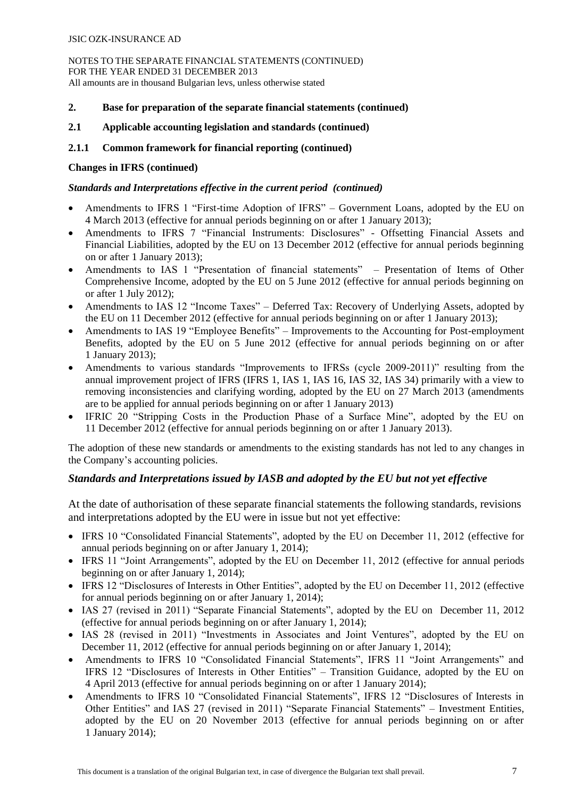NOTES TO THE SEPARATE FINANCIAL STATEMENTS (CONTINUED) FOR THE YEAR ENDED 31 DECEMBER 2013 All amounts are in thousand Bulgarian levs, unless otherwise stated

## **2. Base for preparation of the separate financial statements (continued)**

#### **2.1 Applicable accounting legislation and standards (continued)**

## **2.1.1 Common framework for financial reporting (continued)**

#### **Changes in IFRS (continued)**

#### *Standards and Interpretations effective in the current period (continued)*

- Amendments to IFRS 1 "First-time Adoption of IFRS" Government Loans, adopted by the EU on 4 March 2013 (effective for annual periods beginning on or after 1 January 2013);
- Amendments to IFRS 7 "Financial Instruments: Disclosures" Offsetting Financial Assets and Financial Liabilities, adopted by the EU on 13 December 2012 (effective for annual periods beginning on or after 1 January 2013);
- Amendments to IAS 1 "Presentation of financial statements" Presentation of Items of Other Comprehensive Income, adopted by the EU on 5 June 2012 (effective for annual periods beginning on or after 1 July 2012);
- Amendments to IAS 12 "Income Taxes" Deferred Tax: Recovery of Underlying Assets, adopted by the EU on 11 December 2012 (effective for annual periods beginning on or after 1 January 2013);
- Amendments to IAS 19 "Employee Benefits" Improvements to the Accounting for Post-employment Benefits, adopted by the EU on 5 June 2012 (effective for annual periods beginning on or after 1 January 2013);
- Amendments to various standards "Improvements to IFRSs (cycle 2009-2011)" resulting from the annual improvement project of IFRS (IFRS 1, IAS 1, IAS 16, IAS 32, IAS 34) primarily with a view to removing inconsistencies and clarifying wording, adopted by the EU on 27 March 2013 (amendments are to be applied for annual periods beginning on or after 1 January 2013)
- IFRIC 20 "Stripping Costs in the Production Phase of a Surface Mine", adopted by the EU on 11 December 2012 (effective for annual periods beginning on or after 1 January 2013).

The adoption of these new standards or amendments to the existing standards has not led to any changes in the Company's accounting policies.

# *Standards and Interpretations issued by IASB and adopted by the EU but not yet effective*

At the date of authorisation of these separate financial statements the following standards, revisions and interpretations adopted by the EU were in issue but not yet effective:

- IFRS 10 "Consolidated Financial Statements", adopted by the EU on December 11, 2012 (effective for annual periods beginning on or after January 1, 2014);
- IFRS 11 "Joint Arrangements", adopted by the EU on December 11, 2012 (effective for annual periods beginning on or after January 1, 2014);
- IFRS 12 "Disclosures of Interests in Other Entities", adopted by the EU on December 11, 2012 (effective for annual periods beginning on or after January 1, 2014);
- IAS 27 (revised in 2011) "Separate Financial Statements", adopted by the EU on December 11, 2012 (effective for annual periods beginning on or after January 1, 2014);
- IAS 28 (revised in 2011) "Investments in Associates and Joint Ventures", adopted by the EU on December 11, 2012 (effective for annual periods beginning on or after January 1, 2014);
- Amendments to IFRS 10 "Consolidated Financial Statements", IFRS 11 "Joint Arrangements" and IFRS 12 "Disclosures of Interests in Other Entities" – Transition Guidance, adopted by the EU on 4 April 2013 (effective for annual periods beginning on or after 1 January 2014);
- Amendments to IFRS 10 "Consolidated Financial Statements", IFRS 12 "Disclosures of Interests in Other Entities" and IAS 27 (revised in 2011) "Separate Financial Statements" – Investment Entities, adopted by the EU on 20 November 2013 (effective for annual periods beginning on or after 1 January 2014);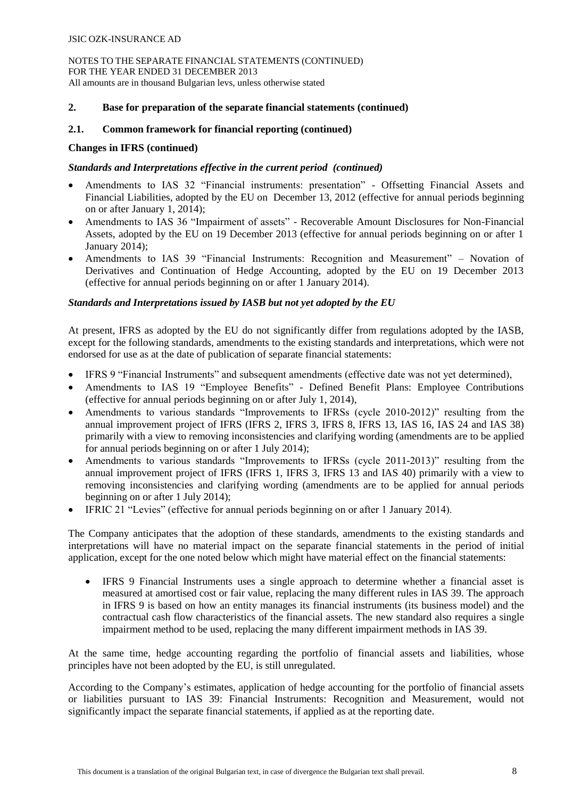# **2. Base for preparation of the separate financial statements (continued)**

# **2.1. Common framework for financial reporting (continued)**

## **Changes in IFRS (continued)**

# *Standards and Interpretations effective in the current period (continued)*

- Amendments to IAS 32 "Financial instruments: presentation" Offsetting Financial Assets and Financial Liabilities, adopted by the EU on December 13, 2012 (effective for annual periods beginning on or after January 1, 2014);
- Amendments to IAS 36 "Impairment of assets" Recoverable Amount Disclosures for Non-Financial Assets, adopted by the EU on 19 December 2013 (effective for annual periods beginning on or after 1 January 2014);
- Amendments to IAS 39 "Financial Instruments: Recognition and Measurement" Novation of Derivatives and Continuation of Hedge Accounting, adopted by the EU on 19 December 2013 (effective for annual periods beginning on or after 1 January 2014).

# *Standards and Interpretations issued by IASB but not yet adopted by the EU*

At present, IFRS as adopted by the EU do not significantly differ from regulations adopted by the IASB, except for the following standards, amendments to the existing standards and interpretations, which were not endorsed for use as at the date of publication of separate financial statements:

- IFRS 9 "Financial Instruments" and subsequent amendments (effective date was not yet determined),
- Amendments to IAS 19 "Employee Benefits" Defined Benefit Plans: Employee Contributions (effective for annual periods beginning on or after July 1, 2014),
- Amendments to various standards "Improvements to IFRSs (cycle 2010-2012)" resulting from the annual improvement project of IFRS (IFRS 2, IFRS 3, IFRS 8, IFRS 13, IAS 16, IAS 24 and IAS 38) primarily with a view to removing inconsistencies and clarifying wording (amendments are to be applied for annual periods beginning on or after 1 July 2014);
- Amendments to various standards "Improvements to IFRSs (cycle 2011-2013)" resulting from the annual improvement project of IFRS (IFRS 1, IFRS 3, IFRS 13 and IAS 40) primarily with a view to removing inconsistencies and clarifying wording (amendments are to be applied for annual periods beginning on or after 1 July 2014);
- IFRIC 21 "Levies" (effective for annual periods beginning on or after 1 January 2014).

The Company anticipates that the adoption of these standards, amendments to the existing standards and interpretations will have no material impact on the separate financial statements in the period of initial application, except for the one noted below which might have material effect on the financial statements:

 IFRS 9 Financial Instruments uses a single approach to determine whether a financial asset is measured at amortised cost or fair value, replacing the many different rules in IAS 39. The approach in IFRS 9 is based on how an entity manages its financial instruments (its business model) and the contractual cash flow characteristics of the financial assets. The new standard also requires a single impairment method to be used, replacing the many different impairment methods in IAS 39.

At the same time, hedge accounting regarding the portfolio of financial assets and liabilities, whose principles have not been adopted by the EU, is still unregulated.

According to the Company's estimates, application of hedge accounting for the portfolio of financial assets or liabilities pursuant to IAS 39: Financial Instruments: Recognition and Measurement, would not significantly impact the separate financial statements, if applied as at the reporting date.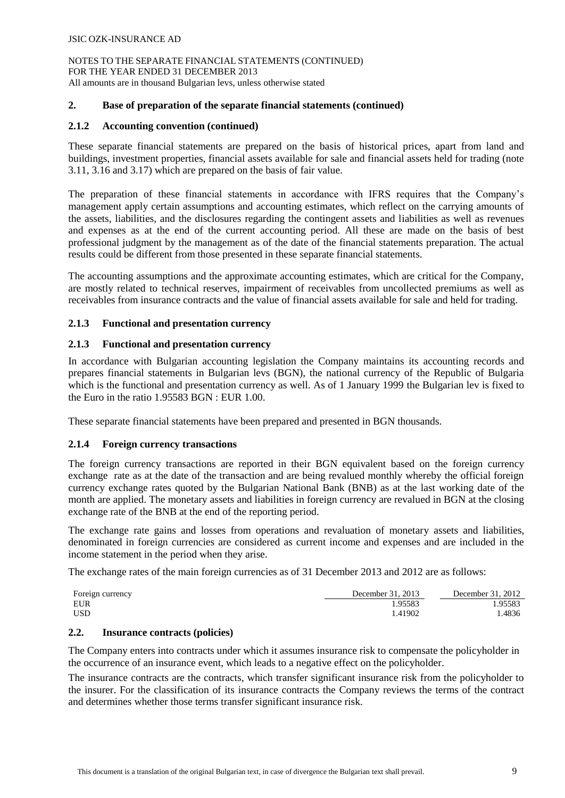# **2. Base of preparation of the separate financial statements (continued)**

# **2.1.2 Accounting convention (continued)**

These separate financial statements are prepared on the basis of historical prices, apart from land and buildings, investment properties, financial assets available for sale and financial assets held for trading (note 3.11, 3.16 and 3.17) which are prepared on the basis of fair value.

The preparation of these financial statements in accordance with IFRS requires that the Company's management apply certain assumptions and accounting estimates, which reflect on the carrying amounts of the assets, liabilities, and the disclosures regarding the contingent assets and liabilities as well as revenues and expenses as at the end of the current accounting period. All these are made on the basis of best professional judgment by the management as of the date of the financial statements preparation. The actual results could be different from those presented in these separate financial statements.

The accounting assumptions and the approximate accounting estimates, which are critical for the Company, are mostly related to technical reserves, impairment of receivables from uncollected premiums as well as receivables from insurance contracts and the value of financial assets available for sale and held for trading.

# **2.1.3 Functional and presentation currency**

# **2.1.3 Functional and presentation currency**

In accordance with Bulgarian accounting legislation the Company maintains its accounting records and prepares financial statements in Bulgarian levs (BGN), the national currency of the Republic of Bulgaria which is the functional and presentation currency as well. As of 1 January 1999 the Bulgarian lev is fixed to the Euro in the ratio 1.95583 BGN : EUR 1.00.

These separate financial statements have been prepared and presented in BGN thousands.

## **2.1.4 Foreign currency transactions**

The foreign currency transactions are reported in their BGN equivalent based on the foreign currency exchange rate as at the date of the transaction and are being revalued monthly whereby the official foreign currency exchange rates quoted by the Bulgarian National Bank (BNB) as at the last working date of the month are applied. The monetary assets and liabilities in foreign currency are revalued in BGN at the closing exchange rate of the BNB at the end of the reporting period.

The exchange rate gains and losses from operations and revaluation of monetary assets and liabilities, denominated in foreign currencies are considered as current income and expenses and are included in the income statement in the period when they arise.

The exchange rates of the main foreign currencies as of 31 December 2013 and 2012 are as follows:

| Foreign currency | December 31, 2013 | December 31, 2012 |
|------------------|-------------------|-------------------|
| EUR              | .95583            | .95583            |
| USD              | 1.41902           | .4836             |

## **2.2. Insurance contracts (policies)**

The Company enters into contracts under which it assumes insurance risk to compensate the policyholder in the occurrence of an insurance event, which leads to a negative effect on the policyholder.

The insurance contracts are the contracts, which transfer significant insurance risk from the policyholder to the insurer. For the classification of its insurance contracts the Company reviews the terms of the contract and determines whether those terms transfer significant insurance risk.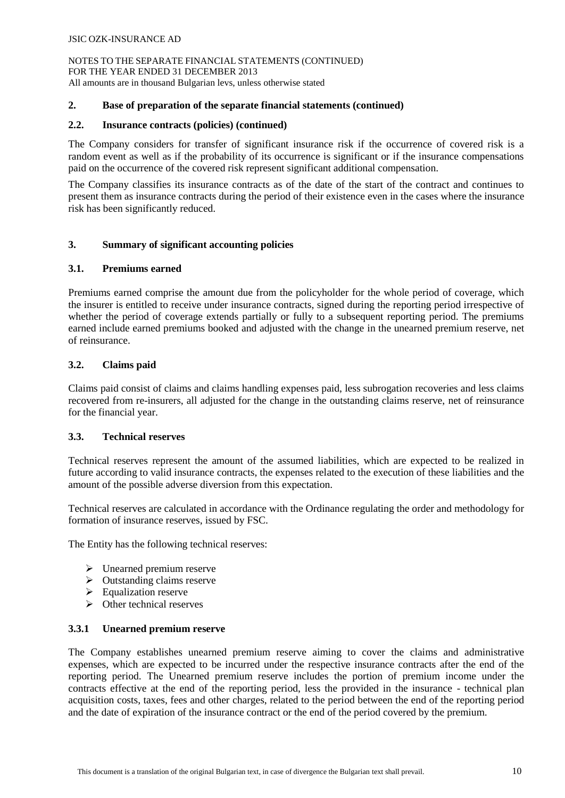# **2. Base of preparation of the separate financial statements (continued)**

# **2.2. Insurance contracts (policies) (continued)**

The Company considers for transfer of significant insurance risk if the occurrence of covered risk is a random event as well as if the probability of its occurrence is significant or if the insurance compensations paid on the occurrence of the covered risk represent significant additional compensation.

The Company classifies its insurance contracts as of the date of the start of the contract and continues to present them as insurance contracts during the period of their existence even in the cases where the insurance risk has been significantly reduced.

# **3. Summary of significant accounting policies**

## **3.1. Premiums earned**

Premiums earned comprise the amount due from the policyholder for the whole period of coverage, which the insurer is entitled to receive under insurance contracts, signed during the reporting period irrespective of whether the period of coverage extends partially or fully to a subsequent reporting period. The premiums earned include earned premiums booked and adjusted with the change in the unearned premium reserve, net of reinsurance.

## **3.2. Claims paid**

Claims paid consist of claims and claims handling expenses paid, less subrogation recoveries and less claims recovered from re-insurers, all adjusted for the change in the outstanding claims reserve, net of reinsurance for the financial year.

## **3.3. Technical reserves**

Technical reserves represent the amount of the assumed liabilities, which are expected to be realized in future according to valid insurance contracts, the expenses related to the execution of these liabilities and the amount of the possible adverse diversion from this expectation.

Technical reserves are calculated in accordance with the Ordinance regulating the order and methodology for formation of insurance reserves, issued by FSC.

The Entity has the following technical reserves:

- $\triangleright$  Unearned premium reserve
- $\triangleright$  Outstanding claims reserve
- $\triangleright$  Equalization reserve
- $\triangleright$  Other technical reserves

# **3.3.1 Unearned premium reserve**

The Company establishes unearned premium reserve aiming to cover the claims and administrative expenses, which are expected to be incurred under the respective insurance contracts after the end of the reporting period. Тhe Unearned premium reserve includes the portion of premium income under the contracts effective at the end of the reporting period, less the provided in the insurance - technical plan acquisition costs, taxes, fees and other charges, related to the period between the end of the reporting period and the date of expiration of the insurance contract or the end of the period covered by the premium.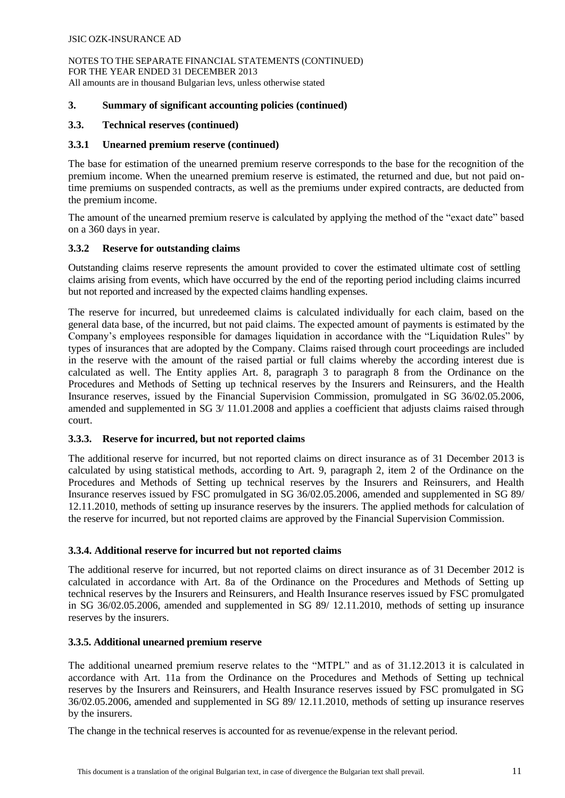# **3. Summary of significant accounting policies (continued)**

# **3.3. Technical reserves (continued)**

## **3.3.1 Unearned premium reserve (continued)**

The base for estimation of the unearned premium reserve corresponds to the base for the recognition of the premium income. When the unearned premium reserve is estimated, the returned and due, but not paid ontime premiums on suspended contracts, as well as the premiums under expired contracts, are deducted from the premium income.

The amount of the unearned premium reserve is calculated by applying the method of the "exact date" based on a 360 days in year.

## **3.3.2 Reserve for outstanding claims**

Outstanding claims reserve represents the amount provided to cover the estimated ultimate cost of settling claims arising from events, which have occurred by the end of the reporting period including claims incurred but not reported and increased by the expected claims handling expenses.

The reserve for incurred, but unredeemed claims is calculated individually for each claim, based on the general data base, of the incurred, but not paid claims. The expected amount of payments is estimated by the Company's employees responsible for damages liquidation in accordance with the "Liquidation Rules" by types of insurances that are adopted by the Company. Claims raised through court proceedings are included in the reserve with the amount of the raised partial or full claims whereby the according interest due is calculated as well. The Entity applies Art. 8, paragraph 3 to paragraph 8 from the Ordinance on the Procedures and Methods of Setting up technical reserves by the Insurers and Reinsurers, and the Health Insurance reserves, issued by the Financial Supervision Commission, promulgated in SG 36/02.05.2006, amended and supplemented in SG 3/ 11.01.2008 and applies a coefficient that adjusts claims raised through court.

## **3.3.3. Reserve for incurred, but not reported claims**

The additional reserve for incurred, but not reported claims on direct insurance as of 31 December 2013 is calculated by using statistical methods, according to Art. 9, paragraph 2, item 2 of the Ordinance on the Procedures and Methods of Setting up technical reserves by the Insurers and Reinsurers, and Health Insurance reserves issued by FSC promulgated in SG 36/02.05.2006, amended and supplemented in SG 89/ 12.11.2010, methods of setting up insurance reserves by the insurers. The applied methods for calculation of the reserve for incurred, but not reported claims are approved by the Financial Supervision Commission.

## **3.3.4. Additional reserve for incurred but not reported claims**

The additional reserve for incurred, but not reported claims on direct insurance as of 31 December 2012 is calculated in accordance with Art. 8a of the Ordinance on the Procedures and Methods of Setting up technical reserves by the Insurers and Reinsurers, and Health Insurance reserves issued by FSC promulgated in SG 36/02.05.2006, amended and supplemented in SG 89/ 12.11.2010, methods of setting up insurance reserves by the insurers.

## **3.3.5. Additional unearned premium reserve**

The additional unearned premium reserve relates to the "MTPL" and as of 31.12.2013 it is calculated in accordance with Art. 11a from the Ordinance on the Procedures and Methods of Setting up technical reserves by the Insurers and Reinsurers, and Health Insurance reserves issued by FSC promulgated in SG 36/02.05.2006, amended and supplemented in SG 89/ 12.11.2010, methods of setting up insurance reserves by the insurers.

The change in the technical reserves is accounted for as revenue/expense in the relevant period.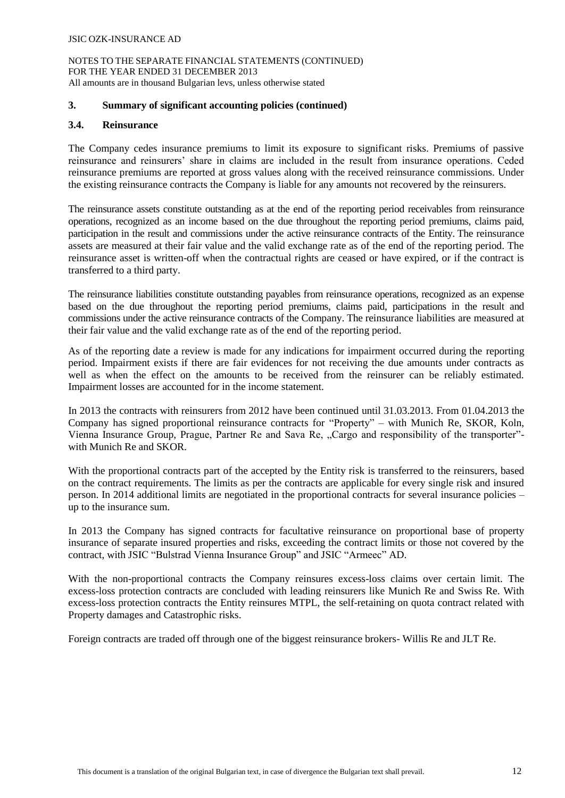#### NOTES TO THE SEPARATE FINANCIAL STATEMENTS (CONTINUED) FOR THE YEAR ENDED 31 DECEMBER 2013 All amounts are in thousand Bulgarian levs, unless otherwise stated

#### **3. Summary of significant accounting policies (continued)**

#### **3.4. Reinsurance**

The Company cedes insurance premiums to limit its exposure to significant risks. Premiums of passive reinsurance and reinsurers' share in claims are included in the result from insurance operations. Ceded reinsurance premiums are reported at gross values along with the received reinsurance commissions. Under the existing reinsurance contracts the Company is liable for any amounts not recovered by the reinsurers.

The reinsurance assets constitute outstanding as at the end of the reporting period receivables from reinsurance operations, recognized as an income based on the due throughout the reporting period premiums, claims paid, participation in the result and commissions under the active reinsurance contracts of the Entity. The reinsurance assets are measured at their fair value and the valid exchange rate as of the end of the reporting period. The reinsurance asset is written-off when the contractual rights are ceased or have expired, or if the contract is transferred to a third party.

The reinsurance liabilities constitute outstanding payables from reinsurance operations, recognized as an expense based on the due throughout the reporting period premiums, claims paid, participations in the result and commissions under the active reinsurance contracts of the Company. The reinsurance liabilities are measured at their fair value and the valid exchange rate as of the end of the reporting period.

As of the reporting date a review is made for any indications for impairment occurred during the reporting period. Impairment exists if there are fair evidences for not receiving the due amounts under contracts as well as when the effect on the amounts to be received from the reinsurer can be reliably estimated. Impairment losses are accounted for in the income statement.

In 2013 the contracts with reinsurers from 2012 have been continued until 31.03.2013. From 01.04.2013 the Company has signed proportional reinsurance contracts for "Property" – with Munich Re, SKOR, Koln, Vienna Insurance Group, Prague, Partner Re and Sava Re, "Cargo and responsibility of the transporter"with Munich Re and SKOR.

With the proportional contracts part of the accepted by the Entity risk is transferred to the reinsurers, based on the contract requirements. The limits as per the contracts are applicable for every single risk and insured person. In 2014 additional limits are negotiated in the proportional contracts for several insurance policies – up to the insurance sum.

In 2013 the Company has signed contracts for facultative reinsurance on proportional base of property insurance of separate insured properties and risks, exceeding the contract limits or those not covered by the contract, with JSIC "Bulstrad Vienna Insurance Group" and JSIC "Armeec" AD.

With the non-proportional contracts the Company reinsures excess-loss claims over certain limit. The excess-loss protection contracts are concluded with leading reinsurers like Munich Re and Swiss Re. With excess-loss protection contracts the Entity reinsures MTPL, the self-retaining on quota contract related with Property damages and Catastrophic risks.

Foreign contracts are traded off through one of the biggest reinsurance brokers- Willis Re and JLT Re.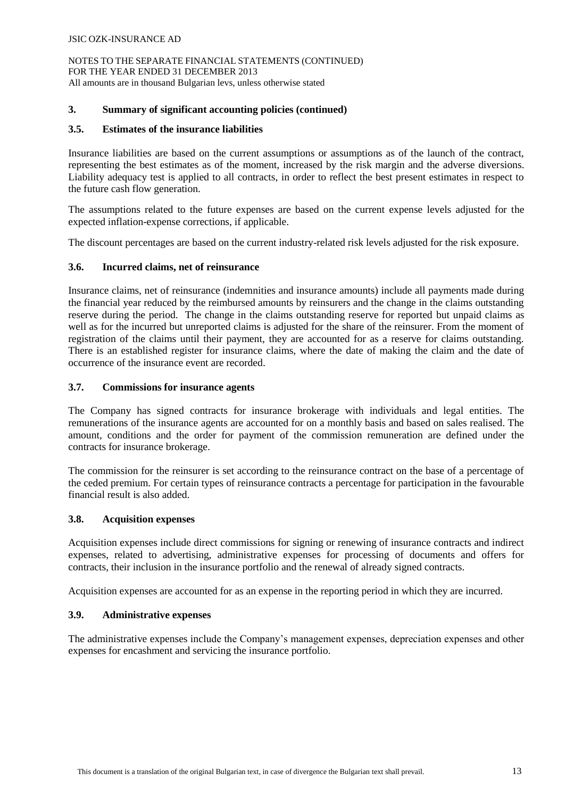NOTES TO THE SEPARATE FINANCIAL STATEMENTS (CONTINUED) FOR THE YEAR ENDED 31 DECEMBER 2013 All amounts are in thousand Bulgarian levs, unless otherwise stated

## **3. Summary of significant accounting policies (continued)**

# **3.5. Estimates of the insurance liabilities**

Insurance liabilities are based on the current assumptions or assumptions as of the launch of the contract, representing the best estimates as of the moment, increased by the risk margin and the adverse diversions. Liability adequacy test is applied to all contracts, in order to reflect the best present estimates in respect to the future cash flow generation.

The assumptions related to the future expenses are based on the current expense levels adjusted for the expected inflation-expense corrections, if applicable.

The discount percentages are based on the current industry-related risk levels adjusted for the risk exposure.

## **3.6. Incurred claims, net of reinsurance**

Insurance claims, net of reinsurance (indemnities and insurance amounts) include all payments made during the financial year reduced by the reimbursed amounts by reinsurers and the change in the claims outstanding reserve during the period. The change in the claims outstanding reserve for reported but unpaid claims as well as for the incurred but unreported claims is adjusted for the share of the reinsurer. From the moment of registration of the claims until their payment, they are accounted for as a reserve for claims outstanding. There is an established register for insurance claims, where the date of making the claim and the date of occurrence of the insurance event are recorded.

## **3.7. Commissions for insurance agents**

The Company has signed contracts for insurance brokerage with individuals and legal entities. The remunerations of the insurance agents are accounted for on a monthly basis and based on sales realised. The amount, conditions and the order for payment of the commission remuneration are defined under the contracts for insurance brokerage.

The commission for the reinsurer is set according to the reinsurance contract on the base of a percentage of the ceded premium. For certain types of reinsurance contracts a percentage for participation in the favourable financial result is also added.

## **3.8. Acquisition expenses**

Acquisition expenses include direct commissions for signing or renewing of insurance contracts and indirect expenses, related to advertising, administrative expenses for processing of documents and offers for contracts, their inclusion in the insurance portfolio and the renewal of already signed contracts.

Acquisition expenses are accounted for as an expense in the reporting period in which they are incurred.

## **3.9. Administrative expenses**

The administrative expenses include the Company's management expenses, depreciation expenses and other expenses for encashment and servicing the insurance portfolio.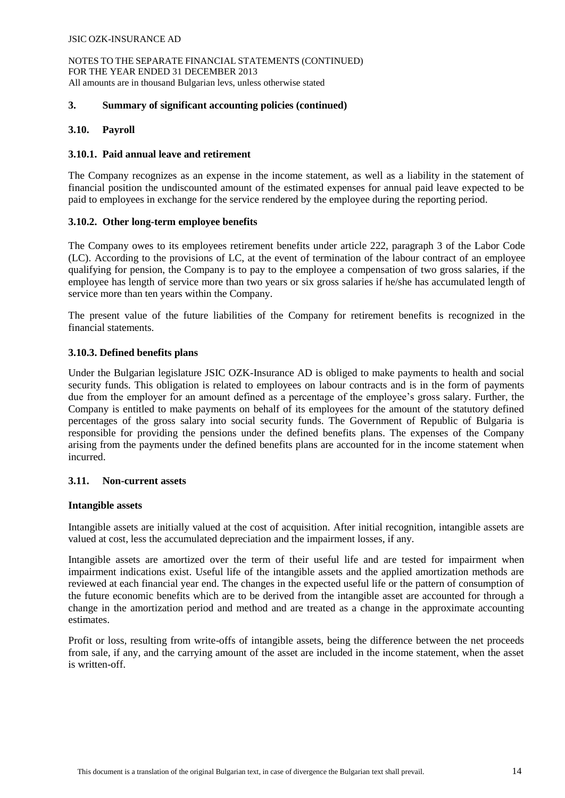## **3. Summary of significant accounting policies (continued)**

## **3.10. Payroll**

#### **3.10.1. Paid annual leave and retirement**

The Company recognizes as an expense in the income statement, as well as a liability in the statement of financial position the undiscounted amount of the estimated expenses for annual paid leave expected to be paid to employees in exchange for the service rendered by the employee during the reporting period.

#### **3.10.2. Other long-term employee benefits**

The Company owes to its employees retirement benefits under article 222, paragraph 3 of the Labor Code (LC). According to the provisions of LC, at the event of termination of the labour contract of an employee qualifying for pension, the Company is to pay to the employee a compensation of two gross salaries, if the employee has length of service more than two years or six gross salaries if he/she has accumulated length of service more than ten years within the Company.

The present value of the future liabilities of the Company for retirement benefits is recognized in the financial statements.

## **3.10.3. Defined benefits plans**

Under the Bulgarian legislature JSIC OZK-Insurance AD is obliged to make payments to health and social security funds. This obligation is related to employees on labour contracts and is in the form of payments due from the employer for an amount defined as a percentage of the employee's gross salary. Further, the Company is entitled to make payments on behalf of its employees for the amount of the statutory defined percentages of the gross salary into social security funds. The Government of Republic of Bulgaria is responsible for providing the pensions under the defined benefits plans. The expenses of the Company arising from the payments under the defined benefits plans are accounted for in the income statement when incurred.

#### **3.11. Non-current assets**

#### **Intangible assets**

Intangible assets are initially valued at the cost of acquisition. After initial recognition, intangible assets are valued at cost, less the accumulated depreciation and the impairment losses, if any.

Intangible assets are amortized over the term of their useful life and are tested for impairment when impairment indications exist. Useful life of the intangible assets and the applied amortization methods are reviewed at each financial year end. The changes in the expected useful life or the pattern of consumption of the future economic benefits which are to be derived from the intangible asset are accounted for through a change in the amortization period and method and are treated as a change in the approximate accounting estimates.

Profit or loss, resulting from write-offs of intangible assets, being the difference between the net proceeds from sale, if any, and the carrying amount of the asset are included in the income statement, when the asset is written-off.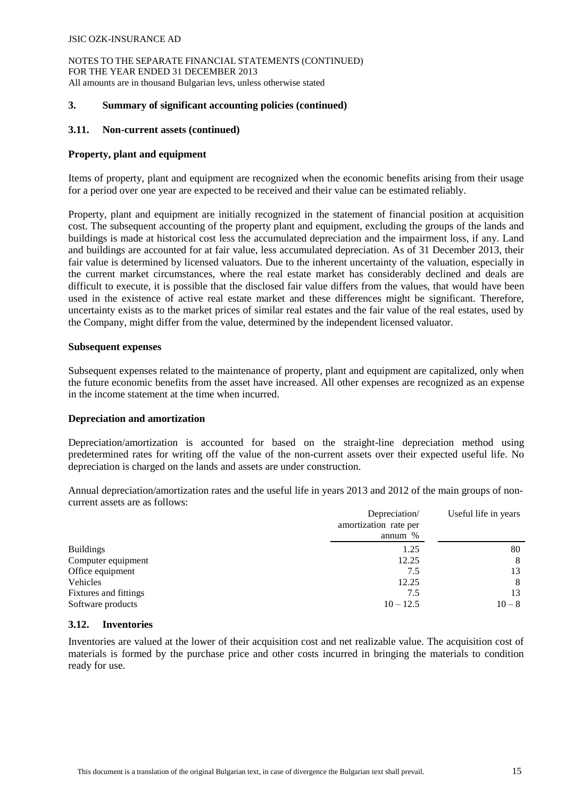NOTES TO THE SEPARATE FINANCIAL STATEMENTS (CONTINUED) FOR THE YEAR ENDED 31 DECEMBER 2013 All amounts are in thousand Bulgarian levs, unless otherwise stated

#### **3. Summary of significant accounting policies (continued)**

#### **3.11. Non-current assets (continued)**

#### **Property, plant and equipment**

Items of property, plant and equipment are recognized when the economic benefits arising from their usage for a period over one year are expected to be received and their value can be estimated reliably.

Property, plant and equipment are initially recognized in the statement of financial position at acquisition cost. The subsequent accounting of the property plant and equipment, excluding the groups of the lands and buildings is made at historical cost less the accumulated depreciation and the impairment loss, if any. Land and buildings are accounted for at fair value, less accumulated depreciation. As of 31 December 2013, their fair value is determined by licensed valuators. Due to the inherent uncertainty of the valuation, especially in the current market circumstances, where the real estate market has considerably declined and deals are difficult to execute, it is possible that the disclosed fair value differs from the values, that would have been used in the existence of active real estate market and these differences might be significant. Therefore, uncertainty exists as to the market prices of similar real estates and the fair value of the real estates, used by the Company, might differ from the value, determined by the independent licensed valuator.

#### **Subsequent expenses**

Subsequent expenses related to the maintenance of property, plant and equipment are capitalized, only when the future economic benefits from the asset have increased. All other expenses are recognized as an expense in the income statement at the time when incurred.

#### **Depreciation and amortization**

Depreciation/amortization is accounted for based on the straight-line depreciation method using predetermined rates for writing off the value of the non-current assets over their expected useful life. No depreciation is charged on the lands and assets are under construction.

Annual depreciation/amortization rates and the useful life in years 2013 and 2012 of the main groups of noncurrent assets are as follows:

|                       | Depreciation/<br>amortization rate per<br>annum $%$ | Useful life in years |
|-----------------------|-----------------------------------------------------|----------------------|
|                       |                                                     |                      |
| <b>Buildings</b>      | 1.25                                                | 80                   |
| Computer equipment    | 12.25                                               | 8                    |
| Office equipment      | 7.5                                                 | 13                   |
| Vehicles              | 12.25                                               | 8                    |
| Fixtures and fittings | 7.5                                                 | 13                   |
| Software products     | $10 - 12.5$                                         | $10 - 8$             |

#### **3.12. Inventories**

Inventories are valued at the lower of their acquisition cost and net realizable value. The acquisition cost of materials is formed by the purchase price and other costs incurred in bringing the materials to condition ready for use.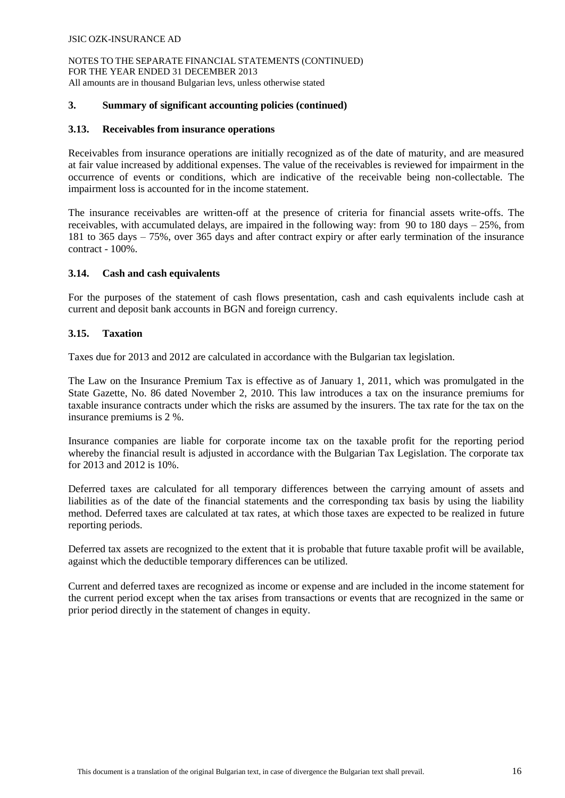#### **3. Summary of significant accounting policies (continued)**

#### **3.13. Receivables from insurance operations**

Receivables from insurance operations are initially recognized as of the date of maturity, and are measured at fair value increased by additional expenses. The value of the receivables is reviewed for impairment in the occurrence of events or conditions, which are indicative of the receivable being non-collectable. The impairment loss is accounted for in the income statement.

The insurance receivables are written-off at the presence of criteria for financial assets write-offs. The receivables, with accumulated delays, are impaired in the following way: from 90 to 180 days – 25%, from 181 to 365 days – 75%, over 365 days and after contract expiry or after early termination of the insurance contract - 100%.

#### **3.14. Cash and cash equivalents**

For the purposes of the statement of cash flows presentation, cash and cash equivalents include cash at current and deposit bank accounts in BGN and foreign currency.

#### **3.15. Taxation**

Taxes due for 2013 and 2012 are calculated in accordance with the Bulgarian tax legislation.

The Law on the Insurance Premium Tax is effective as of January 1, 2011, which was promulgated in the State Gazette, No. 86 dated November 2, 2010. This law introduces a tax on the insurance premiums for taxable insurance contracts under which the risks are assumed by the insurers. The tax rate for the tax on the insurance premiums is 2 %.

Insurance companies are liable for corporate income tax on the taxable profit for the reporting period whereby the financial result is adjusted in accordance with the Bulgarian Tax Legislation. The corporate tax for 2013 and 2012 is 10%.

Deferred taxes are calculated for all temporary differences between the carrying amount of assets and liabilities as of the date of the financial statements and the corresponding tax basis by using the liability method. Deferred taxes are calculated at tax rates, at which those taxes are expected to be realized in future reporting periods.

Deferred tax assets are recognized to the extent that it is probable that future taxable profit will be available, against which the deductible temporary differences can be utilized.

Current and deferred taxes are recognized as income or expense and are included in the income statement for the current period except when the tax arises from transactions or events that are recognized in the same or prior period directly in the statement of changes in equity.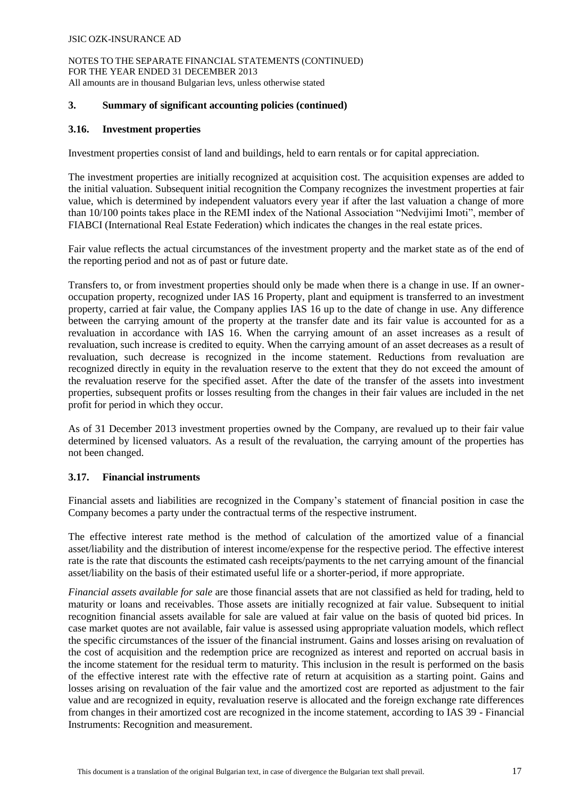# **3. Summary of significant accounting policies (continued)**

# **3.16. Investment properties**

Investment properties consist of land and buildings, held to earn rentals or for capital appreciation.

The investment properties are initially recognized at acquisition cost. The acquisition expenses are added to the initial valuation. Subsequent initial recognition the Company recognizes the investment properties at fair value, which is determined by independent valuators every year if after the last valuation a change of more than 10/100 points takes place in the REMI index of the National Association "Nedvijimi Imoti", member of FIABCI (International Real Estate Federation) which indicates the changes in the real estate prices.

Fair value reflects the actual circumstances of the investment property and the market state as of the end of the reporting period and not as of past or future date.

Transfers to, or from investment properties should only be made when there is a change in use. If an owneroccupation property, recognized under IAS 16 Property, plant and equipment is transferred to an investment property, carried at fair value, the Company applies IAS 16 up to the date of change in use. Any difference between the carrying amount of the property at the transfer date and its fair value is accounted for as a revaluation in accordance with IAS 16. When the carrying amount of an asset increases as a result of revaluation, such increase is credited to equity. When the carrying amount of an asset decreases as a result of revaluation, such decrease is recognized in the income statement. Reductions from revaluation are recognized directly in equity in the revaluation reserve to the extent that they do not exceed the amount of the revaluation reserve for the specified asset. After the date of the transfer of the assets into investment properties, subsequent profits or losses resulting from the changes in their fair values are included in the net profit for period in which they occur.

As of 31 December 2013 investment properties owned by the Company, are revalued up to their fair value determined by licensed valuators. As a result of the revaluation, the carrying amount of the properties has not been changed.

# **3.17. Financial instruments**

Financial assets and liabilities are recognized in the Company's statement of financial position in case the Company becomes a party under the contractual terms of the respective instrument.

The effective interest rate method is the method of calculation of the amortized value of a financial asset/liability and the distribution of interest income/expense for the respective period. The effective interest rate is the rate that discounts the estimated cash receipts/payments to the net carrying amount of the financial asset/liability on the basis of their estimated useful life or a shorter-period, if more appropriate.

*Financial assets available for sale* are those financial assets that are not classified as held for trading, held to maturity or loans and receivables. Those assets are initially recognized at fair value. Subsequent to initial recognition financial assets available for sale are valued at fair value on the basis of quoted bid prices. In case market quotes are not available, fair value is assessed using appropriate valuation models, which reflect the specific circumstances of the issuer of the financial instrument. Gains and losses arising on revaluation of the cost of acquisition and the redemption price are recognized as interest and reported on accrual basis in the income statement for the residual term to maturity. This inclusion in the result is performed on the basis of the effective interest rate with the effective rate of return at acquisition as a starting point. Gains and losses arising on revaluation of the fair value and the amortized cost are reported as adjustment to the fair value and are recognized in equity, revaluation reserve is allocated and the foreign exchange rate differences from changes in their amortized cost are recognized in the income statement, according to IAS 39 - Financial Instruments: Recognition and measurement.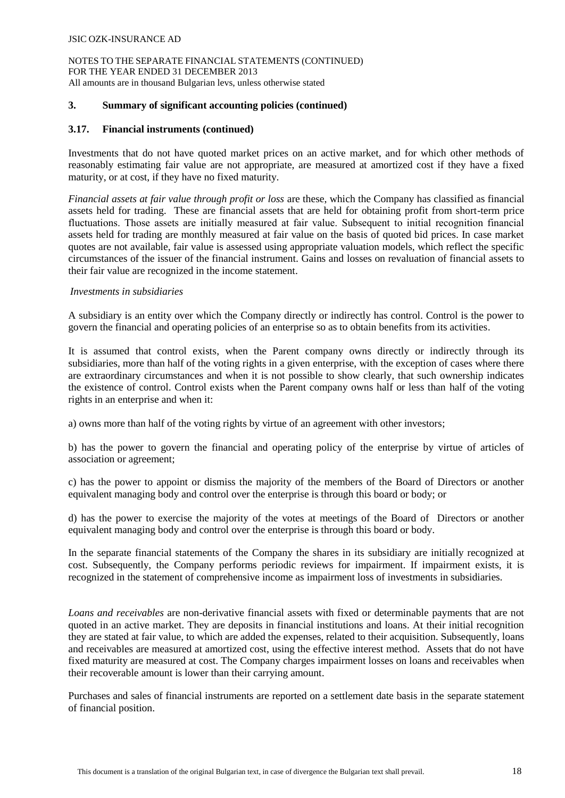NOTES TO THE SEPARATE FINANCIAL STATEMENTS (CONTINUED) FOR THE YEAR ENDED 31 DECEMBER 2013 All amounts are in thousand Bulgarian levs, unless otherwise stated

#### **3. Summary of significant accounting policies (continued)**

## **3.17. Financial instruments (continued)**

Investments that do not have quoted market prices on an active market, and for which other methods of reasonably estimating fair value are not appropriate, are measured at amortized cost if they have a fixed maturity, or at cost, if they have no fixed maturity.

*Financial assets at fair value through profit or loss* are these, which the Company has classified as financial assets held for trading. These are financial assets that are held for obtaining profit from short-term price fluctuations. Тhose assets are initially measured at fair value. Subsequent to initial recognition financial assets held for trading are monthly measured at fair value on the basis of quoted bid prices. In case market quotes are not available, fair value is assessed using appropriate valuation models, which reflect the specific circumstances of the issuer of the financial instrument. Gains and losses on revaluation of financial assets to their fair value are recognized in the income statement.

#### *Investments in subsidiaries*

A subsidiary is an entity over which the Company directly or indirectly has control. Control is the power to govern the financial and operating policies of an enterprise so as to obtain benefits from its activities.

It is assumed that control exists, when the Parent company owns directly or indirectly through its subsidiaries, more than half of the voting rights in a given enterprise, with the exception of cases where there are extraordinary circumstances and when it is not possible to show clearly, that such ownership indicates the existence of control. Control exists when the Parent company owns half or less than half of the voting rights in an enterprise and when it:

a) owns more than half of the voting rights by virtue of an agreement with other investors;

b) has the power to govern the financial and operating policy of the enterprise by virtue of articles of association or agreement;

c) has the power to appoint or dismiss the majority of the members of the Board of Directors or another equivalent managing body and control over the enterprise is through this board or body; or

d) has the power to exercise the majority of the votes at meetings of the Board of Directors or another equivalent managing body and control over the enterprise is through this board or body.

In the separate financial statements of the Company the shares in its subsidiary are initially recognized at cost. Subsequently, the Company performs periodic reviews for impairment. If impairment exists, it is recognized in the statement of comprehensive income as impairment loss of investments in subsidiaries.

*Loans and receivables* are non-derivative financial assets with fixed or determinable payments that are not quoted in an active market. They are deposits in financial institutions and loans. At their initial recognition they are stated at fair value, to which are added the expenses, related to their acquisition. Subsequently, loans and receivables are measured at amortized cost, using the effective interest method. Assets that do not have fixed maturity are measured at cost. The Company charges impairment losses on loans and receivables when their recoverable amount is lower than their carrying amount.

Purchases and sales of financial instruments are reported on a settlement date basis in the separate statement of financial position.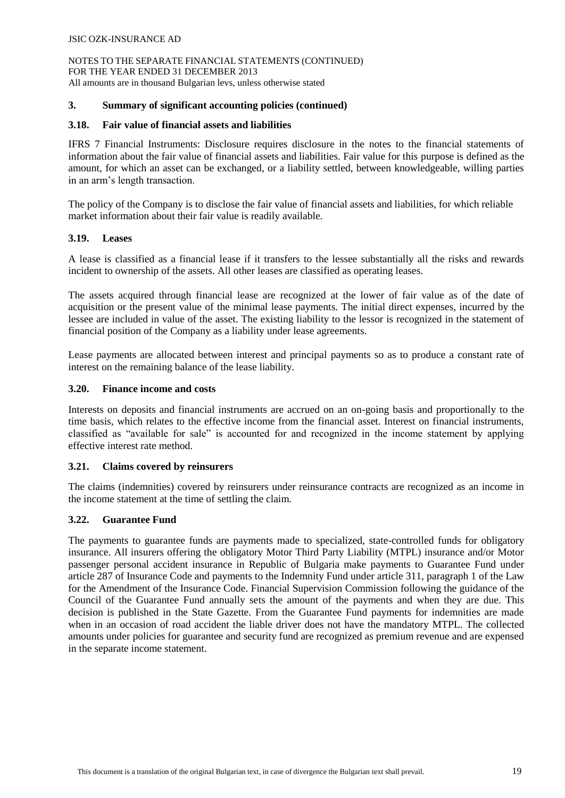## **3. Summary of significant accounting policies (continued)**

# **3.18. Fair value of financial assets and liabilities**

IFRS 7 Financial Instruments: Disclosure requires disclosure in the notes to the financial statements of information about the fair value of financial assets and liabilities. Fair value for this purpose is defined as the amount, for which an asset can be exchanged, or a liability settled, between knowledgeable, willing parties in an arm's length transaction.

The policy of the Company is to disclose the fair value of financial assets and liabilities, for which reliable market information about their fair value is readily available.

## **3.19. Leases**

A lease is classified as a financial lease if it transfers to the lessee substantially all the risks and rewards incident to ownership of the assets. All other leases are classified as operating leases.

The assets acquired through financial lease are recognized at the lower of fair value as of the date of acquisition or the present value of the minimal lease payments. The initial direct expenses, incurred by the lessee are included in value of the asset. The existing liability to the lessor is recognized in the statement of financial position of the Company as a liability under lease agreements.

Lease payments are allocated between interest and principal payments so as to produce a constant rate of interest on the remaining balance of the lease liability.

# **3.20. Finance income and costs**

Interests on deposits and financial instruments are accrued on an on-going basis and proportionally to the time basis, which relates to the effective income from the financial asset. Interest on financial instruments, classified as "available for sale" is accounted for and recognized in the income statement by applying effective interest rate method.

## **3.21. Claims covered by reinsurers**

The claims (indemnities) covered by reinsurers under reinsurance contracts are recognized as an income in the income statement at the time of settling the claim.

## **3.22. Guarantee Fund**

The payments to guarantee funds are payments made to specialized, state-controlled funds for obligatory insurance. All insurers offering the obligatory Motor Third Party Liability (MTPL) insurance and/or Motor passenger personal accident insurance in Republic of Bulgaria make payments to Guarantee Fund under article 287 of Insurance Code and payments to the Indemnity Fund under article 311, paragraph 1 of the Law for the Amendment of the Insurance Code. Financial Supervision Commission following the guidance of the Council of the Guarantee Fund annually sets the amount of the payments and when they are due. This decision is published in the State Gazette. From the Guarantee Fund payments for indemnities are made when in an occasion of road accident the liable driver does not have the mandatory MTPL. The collected amounts under policies for guarantee and security fund are recognized as premium revenue and are expensed in the separate income statement.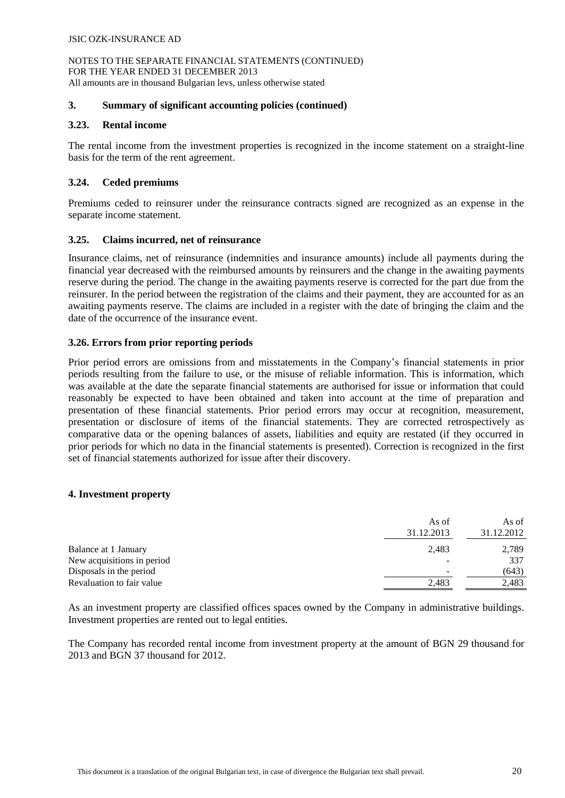## **3. Summary of significant accounting policies (continued)**

## **3.23. Rental income**

The rental income from the investment properties is recognized in the income statement on a straight-line basis for the term of the rent agreement.

#### **3.24. Ceded premiums**

Premiums ceded to reinsurer under the reinsurance contracts signed are recognized as an expense in the separate income statement.

#### **3.25. Claims incurred, net of reinsurance**

Insurance claims, net of reinsurance (indemnities and insurance amounts) include all payments during the financial year decreased with the reimbursed amounts by reinsurers and the change in the awaiting payments reserve during the period. The change in the awaiting payments reserve is corrected for the part due from the reinsurer. In the period between the registration of the claims and their payment, they are accounted for as an awaiting payments reserve. The claims are included in a register with the date of bringing the claim and the date of the occurrence of the insurance event.

#### **3.26. Errors from prior reporting periods**

Prior period errors are omissions from and misstatements in the Company's financial statements in prior periods resulting from the failure to use, or the misuse of reliable information. This is information, which was available at the date the separate financial statements are authorised for issue or information that could reasonably be expected to have been obtained and taken into account at the time of preparation and presentation of these financial statements. Prior period errors may occur at recognition, measurement, presentation or disclosure of items of the financial statements. They are corrected retrospectively as comparative data or the opening balances of assets, liabilities and equity are restated (if they occurred in prior periods for which no data in the financial statements is presented). Correction is recognized in the first set of financial statements authorized for issue after their discovery.

#### **4. Investment property**

|                            | As of<br>31.12.2013 | As of<br>31.12.2012 |
|----------------------------|---------------------|---------------------|
| Balance at 1 January       | 2,483               | 2,789               |
| New acquisitions in period |                     | 337                 |
| Disposals in the period    |                     | (643)               |
| Revaluation to fair value  | 2,483               | 2,483               |

As an investment property are classified offices spaces owned by the Company in administrative buildings. Investment properties are rented out to legal entities.

The Company has recorded rental income from investment property at the amount of BGN 29 thousand for 2013 and BGN 37 thousand for 2012.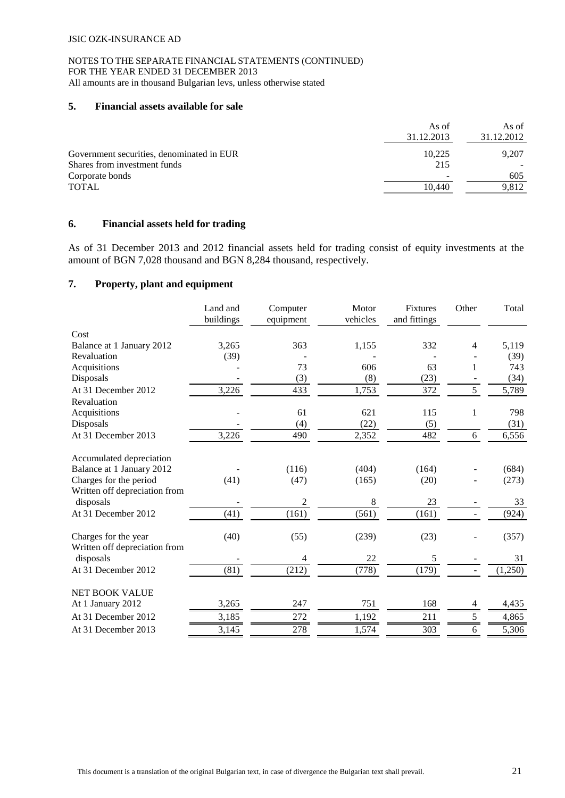#### NOTES TO THE SEPARATE FINANCIAL STATEMENTS (CONTINUED) FOR THE YEAR ENDED 31 DECEMBER 2013 All amounts are in thousand Bulgarian levs, unless otherwise stated

## **5. Financial assets available for sale**

|                                           | As of<br>31.12.2013 | As of<br>31.12.2012 |
|-------------------------------------------|---------------------|---------------------|
| Government securities, denominated in EUR | 10.225              | 9.207               |
| Shares from investment funds              | 215                 |                     |
| Corporate bonds                           |                     | 605                 |
| <b>TOTAL</b>                              | 10.440              | 9.812               |

# **6. Financial assets held for trading**

As of 31 December 2013 and 2012 financial assets held for trading consist of equity investments at the amount of BGN 7,028 thousand and BGN 8,284 thousand, respectively.

## **7. Property, plant and equipment**

| Cost<br>3,265<br>363<br>332<br>5,119<br>Balance at 1 January 2012<br>1,155<br>$\overline{4}$<br>(39)<br>Revaluation<br>(39)<br>73<br>Acquisitions<br>606<br>63<br>1<br>743<br>(3)<br>Disposals<br>(8)<br>(23)<br>(34)<br>433<br>5<br>5,789<br>At 31 December 2012<br>3,226<br>1,753<br>372<br>Revaluation<br>Acquisitions<br>61<br>621<br>115<br>798<br>1<br>(4)<br>(22)<br>(5)<br>Disposals<br>(31)<br>At 31 December 2013<br>3,226<br>490<br>482<br>2,352<br>6,556<br>6<br>Accumulated depreciation<br>(116)<br>Balance at 1 January 2012<br>(404)<br>(164)<br>(684)<br>Charges for the period<br>(41)<br>(47)<br>(165)<br>(20)<br>(273)<br>Written off depreciation from<br>2<br>$\,8\,$<br>23<br>disposals<br>33<br>At 31 December 2012<br>(161)<br>(561)<br>(161)<br>(41)<br>(924)<br>(239)<br>Charges for the year<br>(40)<br>(55)<br>(23)<br>(357)<br>Written off depreciation from<br>22<br>5<br>disposals<br>31<br>4<br>(179)<br>At 31 December 2012<br>(81)<br>(212)<br>(778)<br>(1,250)<br><b>NET BOOK VALUE</b><br>At 1 January 2012<br>3,265<br>247<br>751<br>168<br>4,435<br>4<br>272<br>3,185<br>5<br>At 31 December 2012<br>1,192<br>211<br>4,865<br>278<br>303<br>5,306<br>3,145<br>1,574<br>6<br>At 31 December 2013 | Land and<br>buildings | Computer<br>equipment | Motor<br>vehicles | Fixtures<br>and fittings | Other | Total |
|----------------------------------------------------------------------------------------------------------------------------------------------------------------------------------------------------------------------------------------------------------------------------------------------------------------------------------------------------------------------------------------------------------------------------------------------------------------------------------------------------------------------------------------------------------------------------------------------------------------------------------------------------------------------------------------------------------------------------------------------------------------------------------------------------------------------------------------------------------------------------------------------------------------------------------------------------------------------------------------------------------------------------------------------------------------------------------------------------------------------------------------------------------------------------------------------------------------------------------------|-----------------------|-----------------------|-------------------|--------------------------|-------|-------|
|                                                                                                                                                                                                                                                                                                                                                                                                                                                                                                                                                                                                                                                                                                                                                                                                                                                                                                                                                                                                                                                                                                                                                                                                                                        |                       |                       |                   |                          |       |       |
|                                                                                                                                                                                                                                                                                                                                                                                                                                                                                                                                                                                                                                                                                                                                                                                                                                                                                                                                                                                                                                                                                                                                                                                                                                        |                       |                       |                   |                          |       |       |
|                                                                                                                                                                                                                                                                                                                                                                                                                                                                                                                                                                                                                                                                                                                                                                                                                                                                                                                                                                                                                                                                                                                                                                                                                                        |                       |                       |                   |                          |       |       |
|                                                                                                                                                                                                                                                                                                                                                                                                                                                                                                                                                                                                                                                                                                                                                                                                                                                                                                                                                                                                                                                                                                                                                                                                                                        |                       |                       |                   |                          |       |       |
|                                                                                                                                                                                                                                                                                                                                                                                                                                                                                                                                                                                                                                                                                                                                                                                                                                                                                                                                                                                                                                                                                                                                                                                                                                        |                       |                       |                   |                          |       |       |
|                                                                                                                                                                                                                                                                                                                                                                                                                                                                                                                                                                                                                                                                                                                                                                                                                                                                                                                                                                                                                                                                                                                                                                                                                                        |                       |                       |                   |                          |       |       |
|                                                                                                                                                                                                                                                                                                                                                                                                                                                                                                                                                                                                                                                                                                                                                                                                                                                                                                                                                                                                                                                                                                                                                                                                                                        |                       |                       |                   |                          |       |       |
|                                                                                                                                                                                                                                                                                                                                                                                                                                                                                                                                                                                                                                                                                                                                                                                                                                                                                                                                                                                                                                                                                                                                                                                                                                        |                       |                       |                   |                          |       |       |
|                                                                                                                                                                                                                                                                                                                                                                                                                                                                                                                                                                                                                                                                                                                                                                                                                                                                                                                                                                                                                                                                                                                                                                                                                                        |                       |                       |                   |                          |       |       |
|                                                                                                                                                                                                                                                                                                                                                                                                                                                                                                                                                                                                                                                                                                                                                                                                                                                                                                                                                                                                                                                                                                                                                                                                                                        |                       |                       |                   |                          |       |       |
|                                                                                                                                                                                                                                                                                                                                                                                                                                                                                                                                                                                                                                                                                                                                                                                                                                                                                                                                                                                                                                                                                                                                                                                                                                        |                       |                       |                   |                          |       |       |
|                                                                                                                                                                                                                                                                                                                                                                                                                                                                                                                                                                                                                                                                                                                                                                                                                                                                                                                                                                                                                                                                                                                                                                                                                                        |                       |                       |                   |                          |       |       |
|                                                                                                                                                                                                                                                                                                                                                                                                                                                                                                                                                                                                                                                                                                                                                                                                                                                                                                                                                                                                                                                                                                                                                                                                                                        |                       |                       |                   |                          |       |       |
|                                                                                                                                                                                                                                                                                                                                                                                                                                                                                                                                                                                                                                                                                                                                                                                                                                                                                                                                                                                                                                                                                                                                                                                                                                        |                       |                       |                   |                          |       |       |
|                                                                                                                                                                                                                                                                                                                                                                                                                                                                                                                                                                                                                                                                                                                                                                                                                                                                                                                                                                                                                                                                                                                                                                                                                                        |                       |                       |                   |                          |       |       |
|                                                                                                                                                                                                                                                                                                                                                                                                                                                                                                                                                                                                                                                                                                                                                                                                                                                                                                                                                                                                                                                                                                                                                                                                                                        |                       |                       |                   |                          |       |       |
|                                                                                                                                                                                                                                                                                                                                                                                                                                                                                                                                                                                                                                                                                                                                                                                                                                                                                                                                                                                                                                                                                                                                                                                                                                        |                       |                       |                   |                          |       |       |
|                                                                                                                                                                                                                                                                                                                                                                                                                                                                                                                                                                                                                                                                                                                                                                                                                                                                                                                                                                                                                                                                                                                                                                                                                                        |                       |                       |                   |                          |       |       |
|                                                                                                                                                                                                                                                                                                                                                                                                                                                                                                                                                                                                                                                                                                                                                                                                                                                                                                                                                                                                                                                                                                                                                                                                                                        |                       |                       |                   |                          |       |       |
|                                                                                                                                                                                                                                                                                                                                                                                                                                                                                                                                                                                                                                                                                                                                                                                                                                                                                                                                                                                                                                                                                                                                                                                                                                        |                       |                       |                   |                          |       |       |
|                                                                                                                                                                                                                                                                                                                                                                                                                                                                                                                                                                                                                                                                                                                                                                                                                                                                                                                                                                                                                                                                                                                                                                                                                                        |                       |                       |                   |                          |       |       |
|                                                                                                                                                                                                                                                                                                                                                                                                                                                                                                                                                                                                                                                                                                                                                                                                                                                                                                                                                                                                                                                                                                                                                                                                                                        |                       |                       |                   |                          |       |       |
|                                                                                                                                                                                                                                                                                                                                                                                                                                                                                                                                                                                                                                                                                                                                                                                                                                                                                                                                                                                                                                                                                                                                                                                                                                        |                       |                       |                   |                          |       |       |
|                                                                                                                                                                                                                                                                                                                                                                                                                                                                                                                                                                                                                                                                                                                                                                                                                                                                                                                                                                                                                                                                                                                                                                                                                                        |                       |                       |                   |                          |       |       |
|                                                                                                                                                                                                                                                                                                                                                                                                                                                                                                                                                                                                                                                                                                                                                                                                                                                                                                                                                                                                                                                                                                                                                                                                                                        |                       |                       |                   |                          |       |       |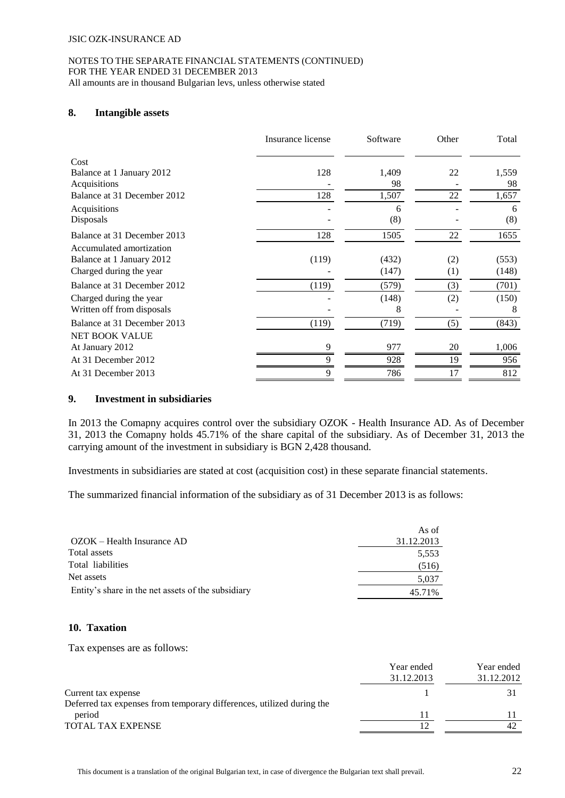#### NOTES TO THE SEPARATE FINANCIAL STATEMENTS (CONTINUED) FOR THE YEAR ENDED 31 DECEMBER 2013 All amounts are in thousand Bulgarian levs, unless otherwise stated

# **8. Intangible assets**

|                             | Insurance license | Software | Other | Total |
|-----------------------------|-------------------|----------|-------|-------|
| Cost                        |                   |          |       |       |
| Balance at 1 January 2012   | 128               | 1,409    | 22    | 1,559 |
| Acquisitions                |                   | 98       |       | 98    |
| Balance at 31 December 2012 | 128               | 1,507    | 22    | 1,657 |
| Acquisitions                |                   | 6        |       | 6     |
| Disposals                   |                   | (8)      |       | (8)   |
| Balance at 31 December 2013 | 128               | 1505     | 22    | 1655  |
| Accumulated amortization    |                   |          |       |       |
| Balance at 1 January 2012   | (119)             | (432)    | (2)   | (553) |
| Charged during the year     |                   | (147)    | (1)   | (148) |
| Balance at 31 December 2012 | (119)             | (579)    | (3)   | (701) |
| Charged during the year     |                   | (148)    | (2)   | (150) |
| Written off from disposals  |                   | 8        |       | 8     |
| Balance at 31 December 2013 | (119)             | (719)    | (5)   | (843) |
| <b>NET BOOK VALUE</b>       |                   |          |       |       |
| At January 2012             | 9                 | 977      | 20    | 1,006 |
| At 31 December 2012         |                   | 928      | 19    | 956   |
| At 31 December 2013         | 9                 | 786      | 17    | 812   |

## **9. Investment in subsidiaries**

In 2013 the Comapny acquires control over the subsidiary OZOK - Health Insurance AD. As of December 31, 2013 the Comapny holds 45.71% of the share capital of the subsidiary. As of December 31, 2013 the carrying amount of the investment in subsidiary is BGN 2,428 thousand.

Investments in subsidiaries are stated at cost (acquisition cost) in these separate financial statements.

The summarized financial information of the subsidiary as of 31 December 2013 is as follows:

| As of      |
|------------|
| 31.12.2013 |
| 5,553      |
| (516)      |
| 5,037      |
| 45.71%     |
|            |

### **10. Taxation**

Tax expenses are as follows:

|                                                                       | Year ended<br>31.12.2013 | Year ended<br>31.12.2012 |
|-----------------------------------------------------------------------|--------------------------|--------------------------|
| Current tax expense                                                   |                          |                          |
| Deferred tax expenses from temporary differences, utilized during the |                          |                          |
| period                                                                |                          |                          |
| <b>TOTAL TAX EXPENSE</b>                                              |                          |                          |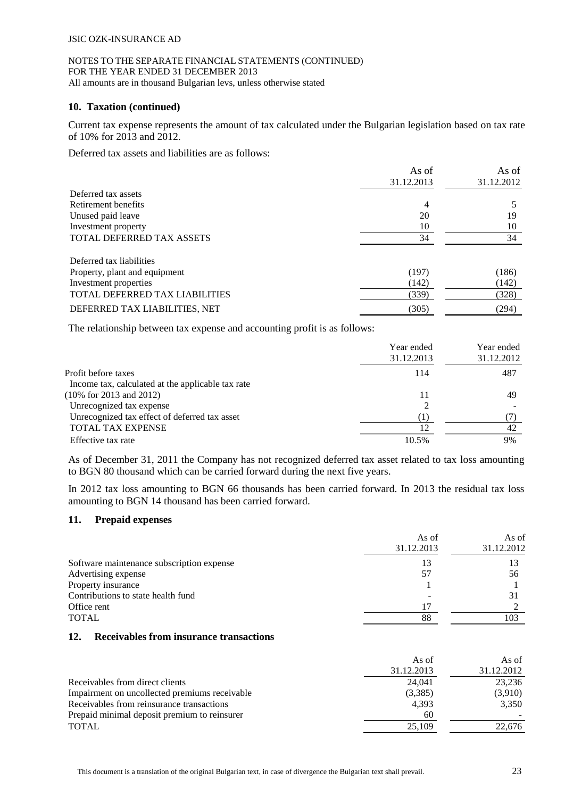#### NOTES TO THE SEPARATE FINANCIAL STATEMENTS (CONTINUED) FOR THE YEAR ENDED 31 DECEMBER 2013 All amounts are in thousand Bulgarian levs, unless otherwise stated

#### **10. Taxation (continued)**

Current tax expense represents the amount of tax calculated under the Bulgarian legislation based on tax rate of 10% for 2013 and 2012.

Deferred tax assets and liabilities are as follows:

|                                  | As of      | As of      |
|----------------------------------|------------|------------|
|                                  | 31.12.2013 | 31.12.2012 |
| Deferred tax assets              |            |            |
| Retirement benefits              | 4          |            |
| Unused paid leave                | 20         | 19         |
| Investment property              | 10         | 10         |
| <b>TOTAL DEFERRED TAX ASSETS</b> | 34         | 34         |
| Deferred tax liabilities         |            |            |
| Property, plant and equipment    | (197)      | (186)      |
| Investment properties            | (142)      | (142)      |
| TOTAL DEFERRED TAX LIABILITIES   | (339)      | (328)      |
| DEFERRED TAX LIABILITIES, NET    | (305)      | (294)      |

The relationship between tax expense and accounting profit is as follows:

|                                                   | Year ended<br>31.12.2013 | Year ended<br>31.12.2012 |
|---------------------------------------------------|--------------------------|--------------------------|
| Profit before taxes                               | 114                      | 487                      |
| Income tax, calculated at the applicable tax rate |                          |                          |
| $(10\% \text{ for } 2013 \text{ and } 2012)$      | 11                       | 49                       |
| Unrecognized tax expense                          |                          |                          |
| Unrecognized tax effect of deferred tax asset     | (1)                      |                          |
| TOTAL TAX EXPENSE                                 |                          | 42                       |
| Effective tax rate                                | 10.5%                    | 9%                       |

As of December 31, 2011 the Company has not recognized deferred tax asset related to tax loss amounting to BGN 80 thousand which can be carried forward during the next five years.

In 2012 tax loss amounting to BGN 66 thousands has been carried forward. In 2013 the residual tax loss amounting to BGN 14 thousand has been carried forward.

## **11. Prepaid expenses**

|                                           | As of      | As of      |
|-------------------------------------------|------------|------------|
|                                           | 31.12.2013 | 31.12.2012 |
| Software maintenance subscription expense | 13         |            |
| Advertising expense                       | 57         | 56         |
| Property insurance                        |            |            |
| Contributions to state health fund        |            | 31         |
| Office rent                               | 17         |            |
| <b>TOTAL</b>                              | 88         | 103        |

#### **12. Receivables from insurance transactions**

|                                               | As of      | As of      |
|-----------------------------------------------|------------|------------|
|                                               | 31.12.2013 | 31.12.2012 |
| Receivables from direct clients               | 24,041     | 23,236     |
| Impairment on uncollected premiums receivable | (3,385)    | (3,910)    |
| Receivables from reinsurance transactions     | 4.393      | 3,350      |
| Prepaid minimal deposit premium to reinsurer  | 60         |            |
| <b>TOTAL</b>                                  | 25,109     | 22.676     |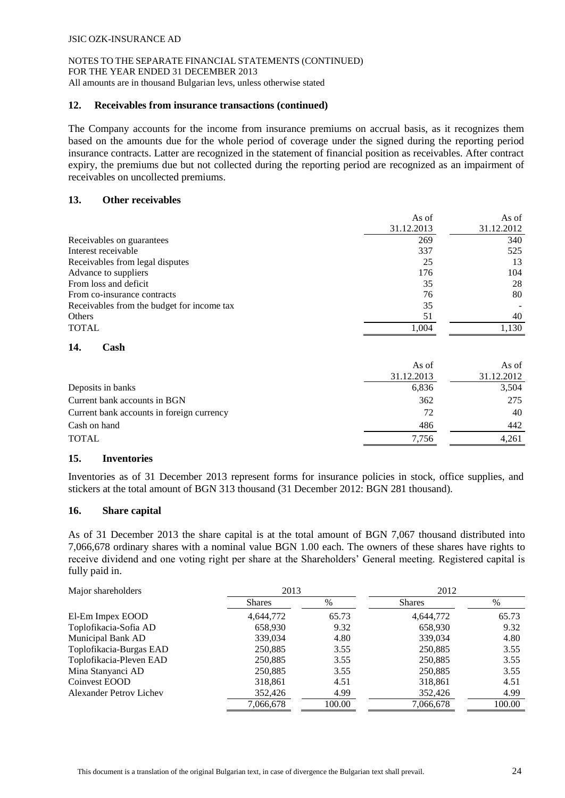## **12. Receivables from insurance transactions (continued)**

The Company accounts for the income from insurance premiums on accrual basis, as it recognizes them based on the amounts due for the whole period of coverage under the signed during the reporting period insurance contracts. Latter are recognized in the statement of financial position as receivables. After contract expiry, the premiums due but not collected during the reporting period are recognized as an impairment of receivables on uncollected premiums.

#### **13. Other receivables**

|                                            | As of      | As of      |
|--------------------------------------------|------------|------------|
|                                            | 31.12.2013 | 31.12.2012 |
| Receivables on guarantees                  | 269        | 340        |
| Interest receivable                        | 337        | 525        |
| Receivables from legal disputes            | 25         | 13         |
| Advance to suppliers                       | 176        | 104        |
| From loss and deficit                      | 35         | 28         |
| From co-insurance contracts                | 76         | 80         |
| Receivables from the budget for income tax | 35         |            |
| Others                                     | 51         | 40         |
| <b>TOTAL</b>                               | 1,004      | 1,130      |
|                                            |            |            |

# **14. Cash**

|                                           | As of      | As of      |
|-------------------------------------------|------------|------------|
|                                           | 31.12.2013 | 31.12.2012 |
| Deposits in banks                         | 6,836      | 3,504      |
| Current bank accounts in BGN              | 362        | 275        |
| Current bank accounts in foreign currency | 72         | 40         |
| Cash on hand                              | 486        | 442        |
| <b>TOTAL</b>                              | 7.756      | 4.261      |
|                                           |            |            |

#### **15. Inventories**

Inventories as of 31 December 2013 represent forms for insurance policies in stock, office supplies, and stickers at the total amount of BGN 313 thousand (31 December 2012: BGN 281 thousand).

#### **16. Share capital**

As of 31 December 2013 the share capital is at the total amount of BGN 7,067 thousand distributed into 7,066,678 ordinary shares with a nominal value BGN 1.00 each. The owners of these shares have rights to receive dividend and one voting right per share at the Shareholders' General meeting. Registered capital is fully paid in.

| Major shareholders             | 2013          |        | 2012          |        |  |
|--------------------------------|---------------|--------|---------------|--------|--|
|                                | <b>Shares</b> | $\%$   | <b>Shares</b> | %      |  |
| El-Em Impex EOOD               | 4,644,772     | 65.73  | 4,644,772     | 65.73  |  |
| Toplofikacia-Sofia AD          | 658,930       | 9.32   | 658,930       | 9.32   |  |
| Municipal Bank AD              | 339,034       | 4.80   | 339,034       | 4.80   |  |
| Toplofikacia-Burgas EAD        | 250,885       | 3.55   | 250,885       | 3.55   |  |
| Toplofikacia-Pleven EAD        | 250,885       | 3.55   | 250,885       | 3.55   |  |
| Mina Stanyanci AD              | 250,885       | 3.55   | 250.885       | 3.55   |  |
| Coinvest EOOD                  | 318,861       | 4.51   | 318,861       | 4.51   |  |
| <b>Alexander Petrov Lichev</b> | 352,426       | 4.99   | 352,426       | 4.99   |  |
|                                | 7.066.678     | 100.00 | 7.066.678     | 100.00 |  |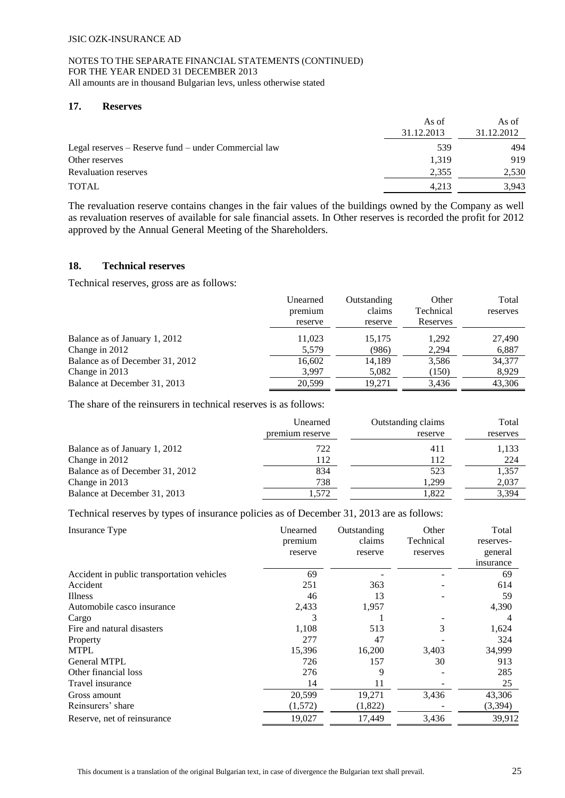## **17. Reserves**

|                                                      | As of<br>31.12.2013 | As of<br>31.12.2012 |
|------------------------------------------------------|---------------------|---------------------|
| Legal reserves – Reserve fund – under Commercial law | 539                 | 494                 |
| Other reserves                                       | 1.319               | 919                 |
| <b>Revaluation reserves</b>                          | 2,355               | 2,530               |
| <b>TOTAL</b>                                         | 4.213               | 3.943               |

The revaluation reserve contains changes in the fair values of the buildings owned by the Company as well as revaluation reserves of available for sale financial assets. In Other reserves is recorded the profit for 2012 approved by the Annual General Meeting of the Shareholders.

# **18. Technical reserves**

Technical reserves, gross are as follows:

|                                 | Unearned | Outstanding | Other     | Total    |
|---------------------------------|----------|-------------|-----------|----------|
|                                 | premium  | claims      | Technical | reserves |
|                                 | reserve  | reserve     | Reserves  |          |
| Balance as of January 1, 2012   | 11.023   | 15.175      | 1.292     | 27,490   |
| Change in 2012                  | 5,579    | (986)       | 2,294     | 6,887    |
| Balance as of December 31, 2012 | 16,602   | 14,189      | 3,586     | 34,377   |
| Change in 2013                  | 3.997    | 5.082       | (150)     | 8.929    |
| Balance at December 31, 2013    | 20.599   | 19.271      | 3.436     | 43,306   |

The share of the reinsurers in technical reserves is as follows:

|                                 | Unearned        | Outstanding claims | Total    |
|---------------------------------|-----------------|--------------------|----------|
|                                 | premium reserve | reserve            | reserves |
| Balance as of January 1, 2012   | 722             | 411                | 1,133    |
| Change in 2012                  | 112             | 112                | 224      |
| Balance as of December 31, 2012 | 834             | 523                | 1,357    |
| Change in 2013                  | 738             | 1.299              | 2,037    |
| Balance at December 31, 2013    | 1.572           | .822               | 3,394    |

Technical reserves by types of insurance policies as of December 31, 2013 are as follows:

| Insurance Type                             | Unearned<br>premium | Outstanding<br>claims | Other<br>Technical | Total<br>reserves- |
|--------------------------------------------|---------------------|-----------------------|--------------------|--------------------|
|                                            | reserve             | reserve               | reserves           | general            |
|                                            |                     |                       |                    | insurance          |
| Accident in public transportation vehicles | 69                  |                       |                    | 69                 |
| Accident                                   | 251                 | 363                   |                    | 614                |
| <b>Illness</b>                             | 46                  | 13                    |                    | 59                 |
| Automobile casco insurance                 | 2,433               | 1,957                 |                    | 4,390              |
| Cargo                                      | 3                   |                       |                    | 4                  |
| Fire and natural disasters                 | 1,108               | 513                   | 3                  | 1,624              |
| Property                                   | 277                 | 47                    |                    | 324                |
| <b>MTPL</b>                                | 15,396              | 16,200                | 3,403              | 34,999             |
| <b>General MTPL</b>                        | 726                 | 157                   | 30                 | 913                |
| Other financial loss                       | 276                 | 9                     |                    | 285                |
| Travel insurance                           | 14                  | 11                    |                    | 25                 |
| Gross amount                               | 20,599              | 19,271                | 3,436              | 43,306             |
| Reinsurers' share                          | (1,572)             | (1,822)               |                    | (3,394)            |
| Reserve, net of reinsurance                | 19,027              | 17,449                | 3,436              | 39,912             |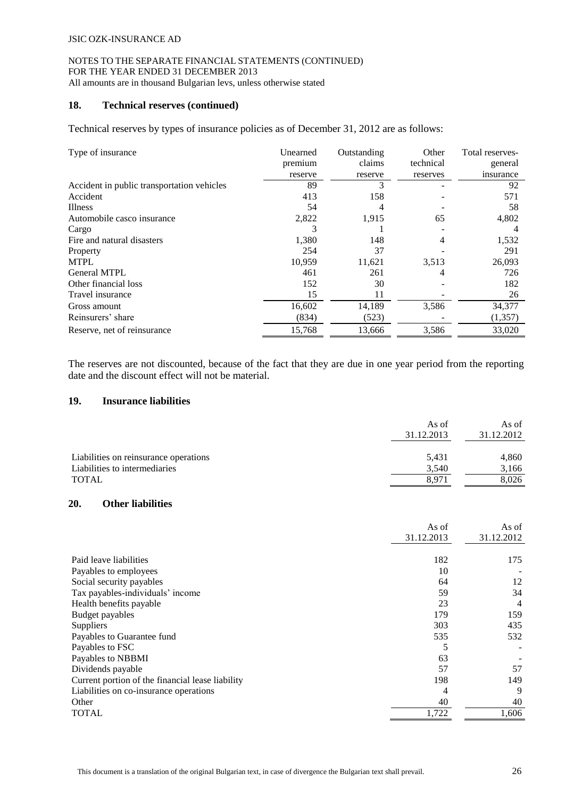#### NOTES TO THE SEPARATE FINANCIAL STATEMENTS (CONTINUED) FOR THE YEAR ENDED 31 DECEMBER 2013 All amounts are in thousand Bulgarian levs, unless otherwise stated

#### **18. Technical reserves (continued)**

Technical reserves by types of insurance policies as of December 31, 2012 are as follows:

| Type of insurance                          | Unearned | Outstanding | Other     | Total reserves- |
|--------------------------------------------|----------|-------------|-----------|-----------------|
|                                            | premium  | claims      | technical | general         |
|                                            | reserve  | reserve     | reserves  | insurance       |
| Accident in public transportation vehicles | 89       |             |           | 92              |
| Accident                                   | 413      | 158         |           | 571             |
| <b>Illness</b>                             | 54       | 4           |           | 58              |
| Automobile casco insurance                 | 2,822    | 1,915       | 65        | 4,802           |
| Cargo                                      |          |             |           |                 |
| Fire and natural disasters                 | 1,380    | 148         | 4         | 1,532           |
| Property                                   | 254      | 37          |           | 291             |
| <b>MTPL</b>                                | 10,959   | 11,621      | 3,513     | 26,093          |
| <b>General MTPL</b>                        | 461      | 261         | 4         | 726             |
| Other financial loss                       | 152      | 30          |           | 182             |
| Travel insurance                           | 15       | 11          |           | 26              |
| Gross amount                               | 16,602   | 14,189      | 3,586     | 34,377          |
| Reinsurers' share                          | (834)    | (523)       |           | (1,357)         |
| Reserve, net of reinsurance                | 15,768   | 13,666      | 3,586     | 33,020          |

The reserves are not discounted, because of the fact that they are due in one year period from the reporting date and the discount effect will not be material.

## **19. Insurance liabilities**

|                                       | As of<br>31.12.2013 | As of<br>31.12.2012 |
|---------------------------------------|---------------------|---------------------|
| Liabilities on reinsurance operations | 5,431               | 4,860               |
| Liabilities to intermediaries         | 3,540               | 3,166               |
| TOTAL                                 | 8.971               | 8,026               |

# **20. Other liabilities**

| 31.12.2013<br>Paid leave liabilities<br>182<br>175<br>Payables to employees<br>10<br>Social security payables<br>64<br>Tax payables-individuals' income<br>59<br>Health benefits payable<br>23<br>179<br>Budget payables<br>303<br>Suppliers<br>Payables to Guarantee fund<br>535<br>Payables to FSC<br>Payables to NBBMI<br>63<br>57<br>Dividends payable<br>198<br>Current portion of the financial lease liability<br>Liabilities on co-insurance operations<br>4<br>Other<br>40 |              | As of | As of      |
|-------------------------------------------------------------------------------------------------------------------------------------------------------------------------------------------------------------------------------------------------------------------------------------------------------------------------------------------------------------------------------------------------------------------------------------------------------------------------------------|--------------|-------|------------|
|                                                                                                                                                                                                                                                                                                                                                                                                                                                                                     |              |       | 31.12.2012 |
|                                                                                                                                                                                                                                                                                                                                                                                                                                                                                     |              |       |            |
|                                                                                                                                                                                                                                                                                                                                                                                                                                                                                     |              |       |            |
|                                                                                                                                                                                                                                                                                                                                                                                                                                                                                     |              |       | 12         |
|                                                                                                                                                                                                                                                                                                                                                                                                                                                                                     |              |       | 34         |
|                                                                                                                                                                                                                                                                                                                                                                                                                                                                                     |              |       | 4          |
|                                                                                                                                                                                                                                                                                                                                                                                                                                                                                     |              |       | 159        |
|                                                                                                                                                                                                                                                                                                                                                                                                                                                                                     |              |       | 435        |
|                                                                                                                                                                                                                                                                                                                                                                                                                                                                                     |              |       | 532        |
|                                                                                                                                                                                                                                                                                                                                                                                                                                                                                     |              |       |            |
|                                                                                                                                                                                                                                                                                                                                                                                                                                                                                     |              |       |            |
|                                                                                                                                                                                                                                                                                                                                                                                                                                                                                     |              |       | 57         |
|                                                                                                                                                                                                                                                                                                                                                                                                                                                                                     |              |       | 149        |
|                                                                                                                                                                                                                                                                                                                                                                                                                                                                                     |              |       | 9          |
|                                                                                                                                                                                                                                                                                                                                                                                                                                                                                     |              |       | 40         |
|                                                                                                                                                                                                                                                                                                                                                                                                                                                                                     | <b>TOTAL</b> | 1,722 | 1,606      |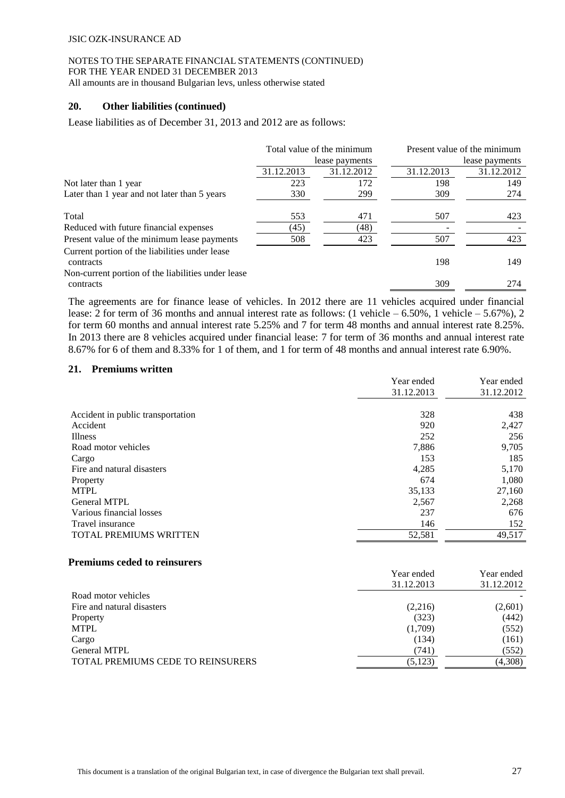# NOTES TO THE SEPARATE FINANCIAL STATEMENTS (CONTINUED) FOR THE YEAR ENDED 31 DECEMBER 2013

All amounts are in thousand Bulgarian levs, unless otherwise stated

## **20. Other liabilities (continued)**

Lease liabilities as of December 31, 2013 and 2012 are as follows:

|                                                                 |            | Total value of the minimum |            | Present value of the minimum |
|-----------------------------------------------------------------|------------|----------------------------|------------|------------------------------|
|                                                                 |            | lease payments             |            | lease payments               |
|                                                                 | 31.12.2013 | 31.12.2012                 | 31.12.2013 | 31.12.2012                   |
| Not later than 1 year                                           | 223        | 172                        | 198        | 149                          |
| Later than 1 year and not later than 5 years                    | 330        | 299                        | 309        | 274                          |
| Total                                                           | 553        | 471                        | 507        | 423                          |
| Reduced with future financial expenses                          | (45)       | (48)                       |            |                              |
| Present value of the minimum lease payments                     | 508        | 423                        | 507        | 423                          |
| Current portion of the liabilities under lease<br>contracts     |            |                            | 198        | 149                          |
| Non-current portion of the liabilities under lease<br>contracts |            |                            | 309        | 274                          |

The agreements are for finance lease of vehicles. In 2012 there are 11 vehicles acquired under financial lease: 2 for term of 36 months and annual interest rate as follows: (1 vehicle – 6.50%, 1 vehicle – 5.67%), 2 for term 60 months and annual interest rate 5.25% and 7 for term 48 months and annual interest rate 8.25%. In 2013 there are 8 vehicles acquired under financial lease: 7 for term of 36 months and annual interest rate 8.67% for 6 of them and 8.33% for 1 of them, and 1 for term of 48 months and annual interest rate 6.90%.

## **21. Premiums written**

|                                   | Year ended | Year ended |
|-----------------------------------|------------|------------|
|                                   | 31.12.2013 | 31.12.2012 |
|                                   |            |            |
| Accident in public transportation | 328        | 438        |
| Accident                          | 920        | 2,427      |
| <b>Illness</b>                    | 252        | 256        |
| Road motor vehicles               | 7,886      | 9,705      |
| Cargo                             | 153        | 185        |
| Fire and natural disasters        | 4,285      | 5,170      |
| Property                          | 674        | 1,080      |
| <b>MTPL</b>                       | 35,133     | 27,160     |
| <b>General MTPL</b>               | 2,567      | 2,268      |
| Various financial losses          | 237        | 676        |
| Travel insurance                  | 146        | 152        |
| <b>TOTAL PREMIUMS WRITTEN</b>     | 52,581     | 49,517     |
|                                   |            |            |

#### **Premiums ceded to reinsurers**

|                                          | Year ended | Year ended |
|------------------------------------------|------------|------------|
|                                          | 31.12.2013 | 31.12.2012 |
| Road motor vehicles                      |            |            |
| Fire and natural disasters               | (2,216)    | (2,601)    |
| Property                                 | (323)      | (442)      |
| MTPL                                     | (1,709)    | (552)      |
| Cargo                                    | (134)      | (161)      |
| <b>General MTPL</b>                      | (741)      | (552)      |
| <b>TOTAL PREMIUMS CEDE TO REINSURERS</b> | (5, 123)   | (4,308)    |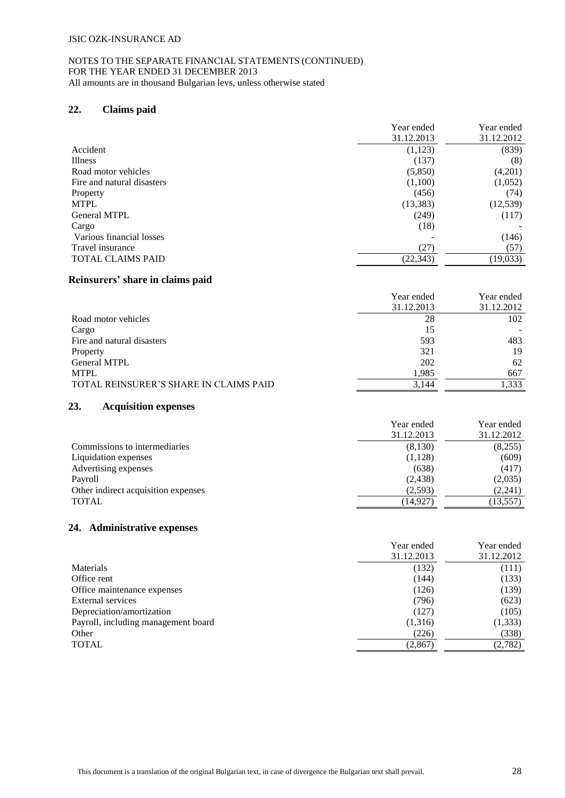# **22. Claims paid**

|                            | Year ended | Year ended |
|----------------------------|------------|------------|
|                            | 31.12.2013 | 31.12.2012 |
| Accident                   | (1, 123)   | (839)      |
| <b>Illness</b>             | (137)      | (8)        |
| Road motor vehicles        | (5,850)    | (4,201)    |
| Fire and natural disasters | (1,100)    | (1,052)    |
| Property                   | (456)      | (74)       |
| <b>MTPL</b>                | (13, 383)  | (12, 539)  |
| General MTPL               | (249)      | (117)      |
| Cargo                      | (18)       |            |
| Various financial losses   |            | (146)      |
| Travel insurance           | (27)       | (57)       |
| <b>TOTAL CLAIMS PAID</b>   | (22, 343)  | (19, 033)  |

#### **Reinsurers' share in claims paid**

|                                        | Year ended | Year ended |
|----------------------------------------|------------|------------|
|                                        | 31.12.2013 | 31.12.2012 |
| Road motor vehicles                    | 28         | 102        |
| Cargo                                  | 15         |            |
| Fire and natural disasters             | 593        | 483        |
| Property                               | 321        | 19         |
| <b>General MTPL</b>                    | 202        | 62         |
| <b>MTPL</b>                            | 1,985      | 667        |
| TOTAL REINSURER'S SHARE IN CLAIMS PAID | 3,144      | 1.333      |

#### **23. Acquisition expenses**

|                                     | Year ended<br>31.12.2013 | Year ended<br>31.12.2012 |
|-------------------------------------|--------------------------|--------------------------|
| Commissions to intermediaries       | (8,130)                  | (8,255)                  |
| Liquidation expenses                | (1,128)                  | (609)                    |
| Advertising expenses                | (638)                    | (417)                    |
| Payroll                             | (2,438)                  | (2,035)                  |
| Other indirect acquisition expenses | (2,593)                  | (2,241)                  |
| <b>TOTAL</b>                        | (14,927)                 | (13, 557)                |

# **24. Administrative expenses**

|                                     | Year ended<br>31.12.2013 | Year ended<br>31.12.2012 |
|-------------------------------------|--------------------------|--------------------------|
| Materials                           | (132)                    | (111)                    |
| Office rent                         | (144)                    | (133)                    |
| Office maintenance expenses         | (126)                    | (139)                    |
| External services                   | (796)                    | (623)                    |
| Depreciation/amortization           | (127)                    | (105)                    |
| Payroll, including management board | (1,316)                  | (1, 333)                 |
| Other                               | (226)                    | (338)                    |
| <b>TOTAL</b>                        | (2,867)                  | (2,782)                  |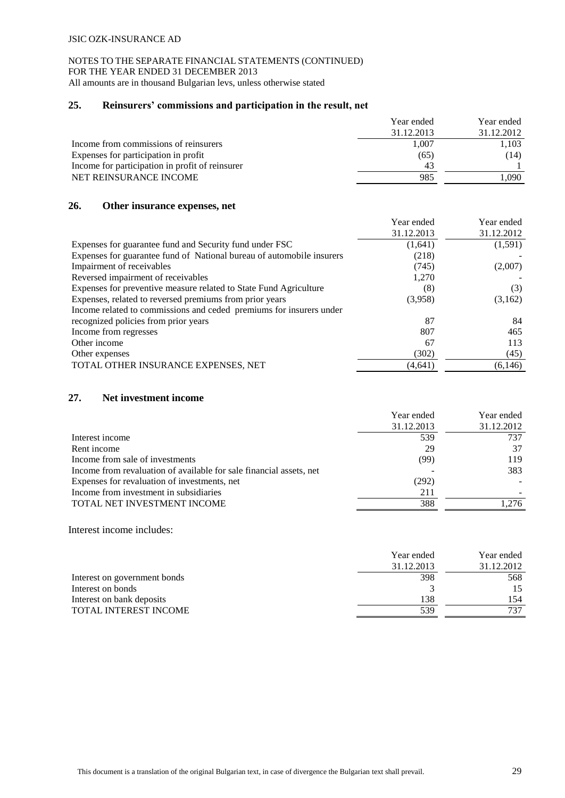# NOTES TO THE SEPARATE FINANCIAL STATEMENTS (CONTINUED) FOR THE YEAR ENDED 31 DECEMBER 2013

All amounts are in thousand Bulgarian levs, unless otherwise stated

# **25. Reinsurers' commissions and participation in the result, net**

|                                                 | Year ended | Year ended |
|-------------------------------------------------|------------|------------|
|                                                 | 31.12.2013 | 31.12.2012 |
| Income from commissions of reinsurers           | 1.007      | 1,103      |
| Expenses for participation in profit            | (65)       | (14)       |
| Income for participation in profit of reinsurer | 43         |            |
| NET REINSURANCE INCOME                          | 985        | .090       |

## **26. Other insurance expenses, net**

|                                                                       | Year ended | Year ended |
|-----------------------------------------------------------------------|------------|------------|
|                                                                       | 31.12.2013 | 31.12.2012 |
| Expenses for guarantee fund and Security fund under FSC               | (1,641)    | (1,591)    |
| Expenses for guarantee fund of National bureau of automobile insurers | (218)      |            |
| Impairment of receivables                                             | (745)      | (2,007)    |
| Reversed impairment of receivables                                    | 1,270      |            |
| Expenses for preventive measure related to State Fund Agriculture     | (8)        | (3)        |
| Expenses, related to reversed premiums from prior years               | (3.958)    | (3,162)    |
| Income related to commissions and ceded premiums for insurers under   |            |            |
| recognized policies from prior years                                  | 87         | 84         |
| Income from regresses                                                 | 807        | 465        |
| Other income                                                          | 67         | 113        |
| Other expenses                                                        | (302)      | (45)       |
| TOTAL OTHER INSURANCE EXPENSES, NET                                   | (4,641)    | (6,146)    |

# **27. Net investment income**

|                                                                     | Year ended | Year ended |
|---------------------------------------------------------------------|------------|------------|
|                                                                     | 31.12.2013 | 31.12.2012 |
| Interest income                                                     | 539        | 737        |
| Rent income                                                         | 29         | 37         |
| Income from sale of investments                                     | (99)       | 119        |
| Income from revaluation of available for sale financial assets, net |            | 383        |
| Expenses for revaluation of investments, net                        | (292)      |            |
| Income from investment in subsidiaries                              | 211        |            |
| TOTAL NET INVESTMENT INCOME                                         | 388        | 1.276      |

Interest income includes:

|                              | Year ended | Year ended |
|------------------------------|------------|------------|
|                              | 31.12.2013 | 31.12.2012 |
| Interest on government bonds | 398        | 568        |
| Interest on bonds            |            |            |
| Interest on bank deposits    | 138        | 154        |
| TOTAL INTEREST INCOME        | 539        | 737        |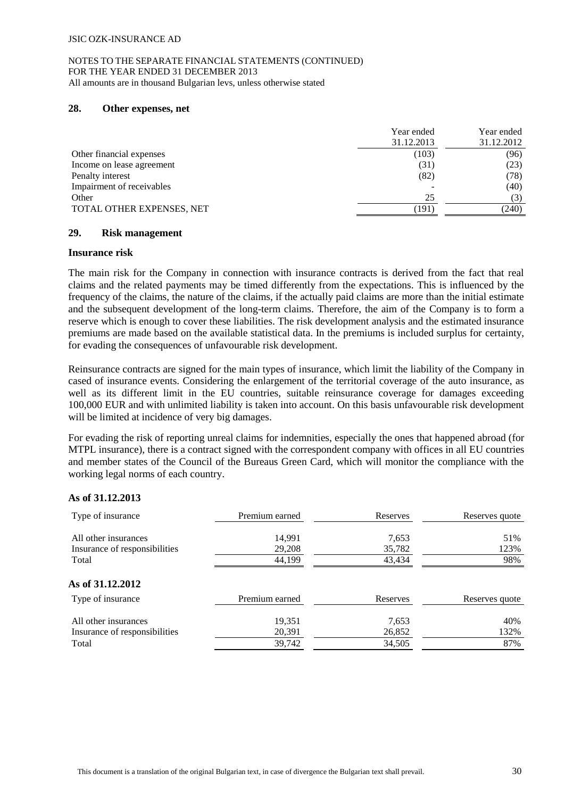## **28. Other expenses, net**

|                           | Year ended | Year ended |
|---------------------------|------------|------------|
|                           | 31.12.2013 | 31.12.2012 |
| Other financial expenses  | (103)      | (96)       |
| Income on lease agreement | (31)       | (23)       |
| Penalty interest          | (82)       | (78)       |
| Impairment of receivables |            | (40)       |
| Other                     | 25         | (3)        |
| TOTAL OTHER EXPENSES, NET | (191       | (240)      |

# **29. Risk management**

#### **Insurance risk**

The main risk for the Company in connection with insurance contracts is derived from the fact that real claims and the related payments may be timed differently from the expectations. This is influenced by the frequency of the claims, the nature of the claims, if the actually paid claims are more than the initial estimate and the subsequent development of the long-term claims. Therefore, the aim of the Company is to form a reserve which is enough to cover these liabilities. The risk development analysis and the estimated insurance premiums are made based on the available statistical data. In the premiums is included surplus for certainty, for evading the consequences of unfavourable risk development.

Reinsurance contracts are signed for the main types of insurance, which limit the liability of the Company in cased of insurance events. Considering the enlargement of the territorial coverage of the auto insurance, as well as its different limit in the EU countries, suitable reinsurance coverage for damages exceeding 100,000 EUR and with unlimited liability is taken into account. On this basis unfavourable risk development will be limited at incidence of very big damages.

For evading the risk of reporting unreal claims for indemnities, especially the ones that happened abroad (for MTPL insurance), there is a contract signed with the correspondent company with offices in all EU countries and member states of the Council of the Bureaus Green Card, which will monitor the compliance with the working legal norms of each country.

# **As of 31.12.2013**

| Type of insurance                     | Premium earned | Reserves | Reserves quote |
|---------------------------------------|----------------|----------|----------------|
| All other insurances                  | 14,991         | 7,653    | 51%            |
| Insurance of responsibilities         | 29,208         | 35,782   | 123%           |
| Total                                 | 44,199         | 43,434   | 98%            |
| As of 31.12.2012<br>Type of insurance | Premium earned | Reserves | Reserves quote |
| All other insurances                  | 19,351         | 7,653    | 40%            |
| Insurance of responsibilities         | 20,391         | 26,852   | 132%           |
| Total                                 | 39,742         | 34,505   | 87%            |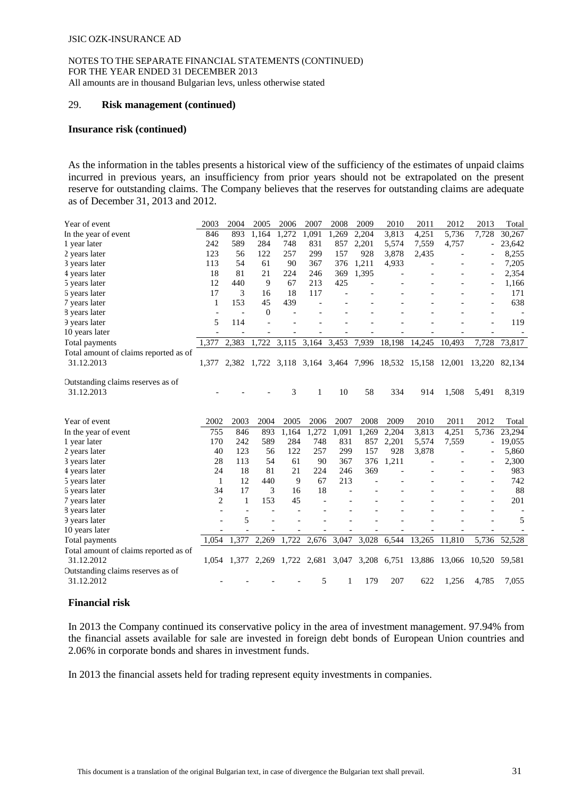#### 29. **Risk management (continued)**

#### **Insurance risk (continued)**

As the information in the tables presents a historical view of the sufficiency of the estimates of unpaid claims incurred in previous years, an insufficiency from prior years should not be extrapolated on the present reserve for outstanding claims. The Company believes that the reserves for outstanding claims are adequate as of December 31, 2013 and 2012.

| Year of event                         | 2003           | 2004           | 2005         | 2006  | 2007  | 2008  | 2009                    | 2010   | 2011         | 2012                                                                   | 2013                     | Total                    |
|---------------------------------------|----------------|----------------|--------------|-------|-------|-------|-------------------------|--------|--------------|------------------------------------------------------------------------|--------------------------|--------------------------|
| In the year of event                  | 846            | 893            | 1,164        | 1,272 | 1,091 | 1,269 | 2,204                   | 3,813  | 4,251        | 5,736                                                                  | 7,728                    | 30,267                   |
| 1 year later                          | 242            | 589            | 284          | 748   | 831   | 857   | 2,201                   | 5,574  | 7,559        | 4,757                                                                  | $\overline{\phantom{a}}$ | 23,642                   |
| 2 years later                         | 123            | 56             | 122          | 257   | 299   | 157   | 928                     | 3,878  | 2,435        |                                                                        |                          | 8,255                    |
| 3 years later                         | 113            | 54             | 61           | 90    | 367   | 376   | 1,211                   | 4,933  |              |                                                                        |                          | 7,205                    |
| 4 years later                         | 18             | 81             | 21           | 224   | 246   | 369   | 1,395                   |        |              |                                                                        |                          | 2,354                    |
| 5 years later                         | 12             | 440            | 9            | 67    | 213   | 425   |                         |        |              |                                                                        |                          | 1,166                    |
| 6 years later                         | 17             | 3              | 16           | 18    | 117   |       |                         |        |              |                                                                        |                          | 171                      |
| 7 years later                         | 1              | 153            | 45           | 439   |       |       |                         |        |              |                                                                        |                          | 638                      |
| 8 years later                         |                | $\overline{a}$ | $\mathbf{0}$ |       |       |       |                         |        |              |                                                                        |                          | $\overline{\phantom{a}}$ |
| 9 years later                         | 5              | 114            |              |       |       |       |                         |        |              |                                                                        |                          | 119                      |
| 10 years later                        |                |                |              |       |       |       |                         |        |              |                                                                        |                          |                          |
| Total payments                        | 1.377          | 2,383          | 1,722        | 3,115 | 3,164 | 3,453 | 7,939                   | 18,198 | 14,245       | 10,493                                                                 | 7,728                    | 73,817                   |
| Total amount of claims reported as of |                |                |              |       |       |       |                         |        |              |                                                                        |                          |                          |
| 31.12.2013                            | 1.377          |                |              |       |       |       |                         |        |              | 2,382 1,722 3,118 3,164 3,464 7,996 18,532 15,158 12,001 13,220 82,134 |                          |                          |
|                                       |                |                |              |       |       |       |                         |        |              |                                                                        |                          |                          |
| Outstanding claims reserves as of     |                |                |              |       |       |       |                         |        |              |                                                                        |                          |                          |
| 31.12.2013                            |                |                |              | 3     | 1     | 10    | 58                      | 334    | 914          | 1,508                                                                  | 5,491                    | 8,319                    |
|                                       |                |                |              |       |       |       |                         |        |              |                                                                        |                          |                          |
|                                       |                |                |              |       |       |       |                         |        |              |                                                                        |                          |                          |
| Year of event                         | 2002           | 2003           | 2004         | 2005  | 2006  | 2007  | 2008                    | 2009   | 2010         | 2011                                                                   | 2012                     | Total                    |
| In the year of event                  | 755            | 846            | 893          | 1,164 | 1,272 | 1,091 | 1,269                   | 2,204  | 3,813        | 4,251                                                                  | 5,736                    | 23,294                   |
| 1 year later                          | 170            | 242            | 589          | 284   | 748   | 831   | 857                     | 2,201  | 5,574        | 7,559                                                                  |                          | 19,055                   |
| 2 years later                         | 40             | 123            | 56           | 122   | 257   | 299   | 157                     | 928    | 3,878        |                                                                        |                          | 5,860                    |
| 3 years later                         | 28             | 113            | 54           | 61    | 90    | 367   | 376                     | 1,211  |              |                                                                        |                          | 2,300                    |
| 4 years later                         | 24             | 18             | 81           | 21    | 224   | 246   | 369                     |        |              |                                                                        |                          | 983                      |
| 5 years later                         | 1              | 12             | 440          | 9     | 67    | 213   |                         |        |              |                                                                        |                          | 742                      |
| 6 years later                         | 34             | 17             | 3            | 16    | 18    |       |                         |        |              |                                                                        |                          | 88                       |
| 7 years later                         | $\overline{2}$ | 1              | 153          | 45    |       |       |                         |        |              |                                                                        |                          | 201                      |
| 8 years later                         |                |                |              |       |       |       |                         |        |              |                                                                        |                          |                          |
| 9 years later                         |                | 5              |              |       |       |       |                         |        |              |                                                                        |                          | 5                        |
| 10 years later                        |                |                |              |       |       |       |                         |        |              |                                                                        |                          |                          |
| Total payments                        | 1,054          | 1,377          | 2,269        |       |       |       | 1,722 2,676 3,047 3,028 |        | 6,544 13,265 | 11,810                                                                 |                          | 5,736 52,528             |
| Total amount of claims reported as of |                |                |              |       |       |       |                         |        |              |                                                                        |                          |                          |
| 31.12.2012                            |                |                |              |       |       |       |                         |        |              | 1,054 1,377 2,269 1,722 2,681 3,047 3,208 6,751 13,886 13,066 10,520   |                          | 59,581                   |
| Outstanding claims reserves as of     |                |                |              |       |       |       |                         |        |              |                                                                        |                          |                          |
| 31.12.2012                            |                |                |              |       | 5     | 1     | 179                     | 207    | 622          | 1,256                                                                  | 4,785                    | 7,055                    |
|                                       |                |                |              |       |       |       |                         |        |              |                                                                        |                          |                          |

# **Financial risk**

In 2013 the Company continued its conservative policy in the area of investment management. 97.94% from the financial assets available for sale are invested in foreign debt bonds of European Union countries and 2.06% in corporate bonds and shares in investment funds.

In 2013 the financial assets held for trading represent equity investments in companies.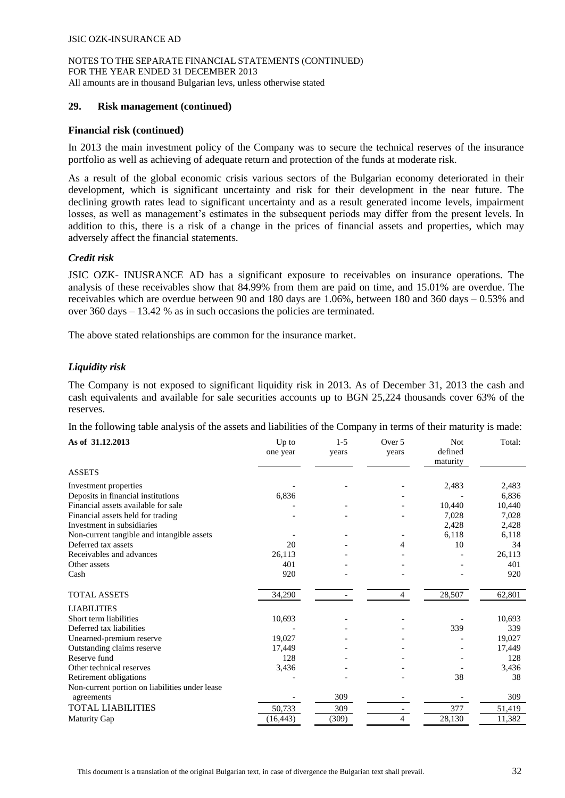## **29. Risk management (continued)**

#### **Financial risk (continued)**

In 2013 the main investment policy of the Company was to secure the technical reserves of the insurance portfolio as well as achieving of adequate return and protection of the funds at moderate risk.

As a result of the global economic crisis various sectors of the Bulgarian economy deteriorated in their development, which is significant uncertainty and risk for their development in the near future. The declining growth rates lead to significant uncertainty and as a result generated income levels, impairment losses, as well as management's estimates in the subsequent periods may differ from the present levels. In addition to this, there is a risk of a change in the prices of financial assets and properties, which may adversely affect the financial statements.

#### *Credit risk*

JSIC OZK- INUSRANCE AD has a significant exposure to receivables on insurance operations. The analysis of these receivables show that 84.99% from them are paid on time, and 15.01% are overdue. The receivables which are overdue between 90 and 180 days are 1.06%, between 180 and 360 days – 0.53% and over 360 days – 13.42 % as in such occasions the policies are terminated.

The above stated relationships are common for the insurance market.

## *Liquidity risk*

The Company is not exposed to significant liquidity risk in 2013. As of December 31, 2013 the cash and cash equivalents and available for sale securities accounts up to BGN 25,224 thousands cover 63% of the reserves.

In the following table analysis of the assets and liabilities of the Company in terms of their maturity is made:

| As of 31.12.2013                               | Up to<br>one year | $1-5$<br>years | Over 5<br>years | Not<br>defined<br>maturity | Total: |
|------------------------------------------------|-------------------|----------------|-----------------|----------------------------|--------|
| <b>ASSETS</b>                                  |                   |                |                 |                            |        |
| Investment properties                          |                   |                |                 | 2,483                      | 2,483  |
| Deposits in financial institutions             | 6,836             |                |                 |                            | 6,836  |
| Financial assets available for sale            |                   |                |                 | 10,440                     | 10,440 |
| Financial assets held for trading              |                   |                |                 | 7,028                      | 7,028  |
| Investment in subsidiaries                     |                   |                |                 | 2,428                      | 2,428  |
| Non-current tangible and intangible assets     |                   |                |                 | 6,118                      | 6,118  |
| Deferred tax assets                            | 20                |                | 4               | 10                         | 34     |
| Receivables and advances                       | 26,113            |                |                 |                            | 26,113 |
| Other assets                                   | 401               |                |                 |                            | 401    |
| Cash                                           | 920               |                |                 |                            | 920    |
| <b>TOTAL ASSETS</b>                            | 34,290            |                | $\overline{4}$  | 28,507                     | 62,801 |
| <b>LIABILITIES</b>                             |                   |                |                 |                            |        |
| Short term liabilities                         | 10,693            |                |                 |                            | 10,693 |
| Deferred tax liabilities                       |                   |                |                 | 339                        | 339    |
| Unearned-premium reserve                       | 19,027            |                |                 |                            | 19,027 |
| Outstanding claims reserve                     | 17,449            |                |                 |                            | 17,449 |
| Reserve fund                                   | 128               |                |                 |                            | 128    |
| Other technical reserves                       | 3,436             |                |                 |                            | 3,436  |
| Retirement obligations                         |                   |                |                 | 38                         | 38     |
| Non-current portion on liabilities under lease |                   |                |                 |                            |        |
| agreements                                     |                   | 309            |                 |                            | 309    |
| <b>TOTAL LIABILITIES</b>                       | 50,733            | 309            |                 | 377                        | 51,419 |
| <b>Maturity Gap</b>                            | (16, 443)         | (309)          | 4               | 28,130                     | 11,382 |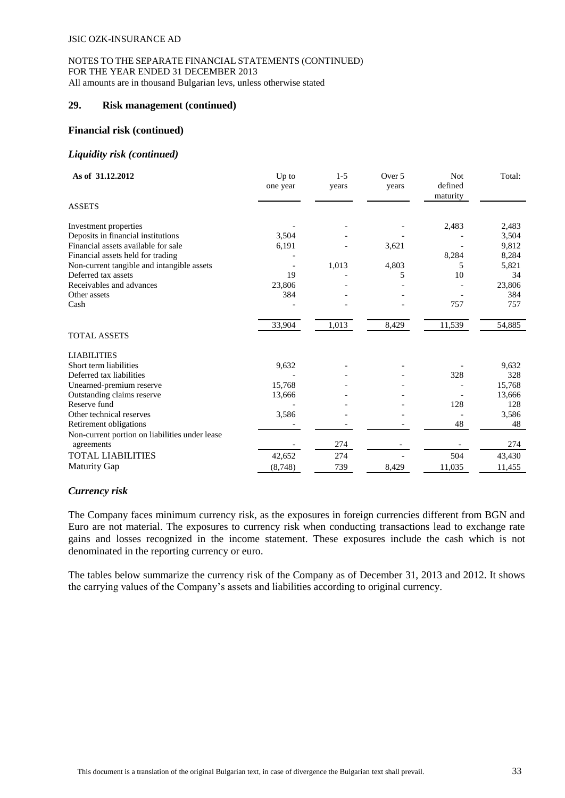## **29. Risk management (continued)**

#### **Financial risk (continued)**

#### *Liquidity risk (continued)*

| As of 31.12.2012                               | Up to<br>one year | $1 - 5$<br>vears | Over 5<br>years | Not<br>defined<br>maturity | Total: |
|------------------------------------------------|-------------------|------------------|-----------------|----------------------------|--------|
| <b>ASSETS</b>                                  |                   |                  |                 |                            |        |
| Investment properties                          |                   |                  |                 | 2,483                      | 2,483  |
| Deposits in financial institutions             | 3,504             |                  |                 |                            | 3,504  |
| Financial assets available for sale            | 6,191             |                  | 3,621           |                            | 9,812  |
| Financial assets held for trading              |                   |                  |                 | 8,284                      | 8,284  |
| Non-current tangible and intangible assets     |                   | 1,013            | 4,803           | 5                          | 5,821  |
| Deferred tax assets                            | 19                |                  | 5               | 10                         | 34     |
| Receivables and advances                       | 23,806            |                  |                 |                            | 23,806 |
| Other assets                                   | 384               |                  |                 |                            | 384    |
| Cash                                           |                   |                  |                 | 757                        | 757    |
|                                                | 33,904            | 1,013            | 8,429           | 11,539                     | 54,885 |
| <b>TOTAL ASSETS</b>                            |                   |                  |                 |                            |        |
| <b>LIABILITIES</b>                             |                   |                  |                 |                            |        |
| Short term liabilities                         | 9,632             |                  |                 |                            | 9,632  |
| Deferred tax liabilities                       |                   |                  |                 | 328                        | 328    |
| Unearned-premium reserve                       | 15,768            |                  |                 |                            | 15,768 |
| Outstanding claims reserve                     | 13,666            |                  |                 |                            | 13,666 |
| Reserve fund                                   |                   |                  |                 | 128                        | 128    |
| Other technical reserves                       | 3,586             |                  |                 |                            | 3,586  |
| Retirement obligations                         |                   |                  |                 | 48                         | 48     |
| Non-current portion on liabilities under lease |                   |                  |                 |                            |        |
| agreements                                     |                   | 274              |                 |                            | 274    |
| <b>TOTAL LIABILITIES</b>                       | 42,652            | 274              |                 | 504                        | 43,430 |
| <b>Maturity Gap</b>                            | (8, 748)          | 739              | 8,429           | 11,035                     | 11,455 |

# *Currency risk*

The Company faces minimum currency risk, as the exposures in foreign currencies different from BGN and Euro are not material. The exposures to currency risk when conducting transactions lead to exchange rate gains and losses recognized in the income statement. These exposures include the cash which is not denominated in the reporting currency or euro.

The tables below summarize the currency risk of the Company as of December 31, 2013 and 2012. It shows the carrying values of the Company's assets and liabilities according to original currency.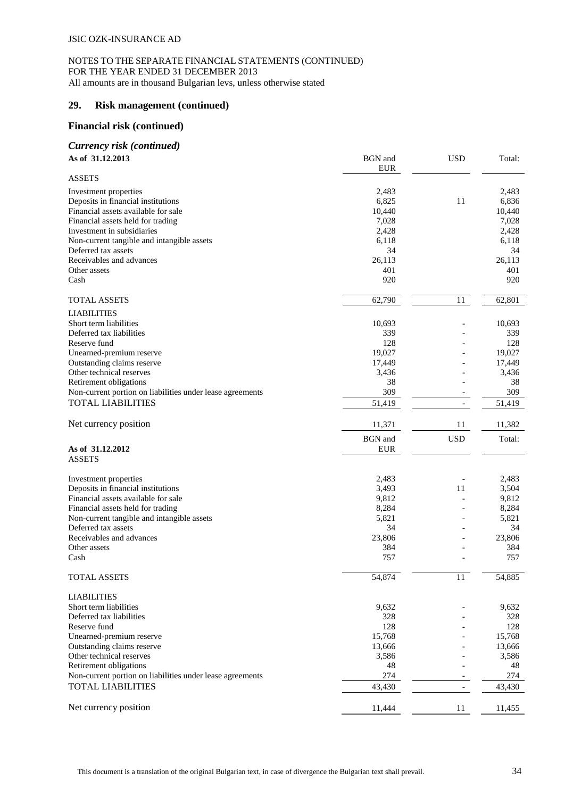# **29. Risk management (continued)**

## **Financial risk (continued)**

#### *Currency risk (continued)* **As of 31.12.2013** BGN and

| As of 31.12.2013                                          | <b>BGN</b> and<br><b>EUR</b> | <b>USD</b>               | Total: |
|-----------------------------------------------------------|------------------------------|--------------------------|--------|
| <b>ASSETS</b>                                             |                              |                          |        |
| Investment properties                                     | 2,483                        |                          | 2,483  |
| Deposits in financial institutions                        | 6,825                        | 11                       | 6,836  |
| Financial assets available for sale                       | 10,440                       |                          | 10,440 |
| Financial assets held for trading                         | 7,028                        |                          | 7,028  |
| Investment in subsidiaries                                | 2,428                        |                          | 2,428  |
| Non-current tangible and intangible assets                | 6,118                        |                          | 6,118  |
| Deferred tax assets                                       | 34                           |                          | 34     |
| Receivables and advances                                  | 26,113                       |                          | 26,113 |
| Other assets                                              | 401                          |                          | 401    |
| Cash                                                      | 920                          |                          | 920    |
| <b>TOTAL ASSETS</b>                                       | 62,790                       | 11                       | 62,801 |
| <b>LIABILITIES</b>                                        |                              |                          |        |
| Short term liabilities                                    | 10,693                       |                          | 10,693 |
| Deferred tax liabilities                                  | 339                          |                          | 339    |
| Reserve fund                                              | 128                          |                          | 128    |
| Unearned-premium reserve                                  | 19,027                       |                          | 19,027 |
| Outstanding claims reserve                                | 17,449                       |                          | 17,449 |
| Other technical reserves                                  | 3,436                        |                          | 3,436  |
| Retirement obligations                                    | 38                           |                          | 38     |
| Non-current portion on liabilities under lease agreements | 309                          |                          | 309    |
| <b>TOTAL LIABILITIES</b>                                  | 51,419                       | $\overline{\phantom{a}}$ | 51,419 |
| Net currency position                                     | 11,371                       | 11                       | 11,382 |
|                                                           |                              |                          |        |
|                                                           | <b>BGN</b> and               | <b>USD</b>               | Total: |
| As of 31.12.2012                                          | <b>EUR</b>                   |                          |        |
| <b>ASSETS</b>                                             |                              |                          |        |
| Investment properties                                     | 2,483                        |                          | 2,483  |
| Deposits in financial institutions                        | 3,493                        | 11                       | 3,504  |
| Financial assets available for sale                       | 9,812                        |                          | 9,812  |
| Financial assets held for trading                         | 8,284                        |                          | 8,284  |
| Non-current tangible and intangible assets                | 5,821                        |                          | 5,821  |
| Deferred tax assets                                       | 34                           |                          | 34     |
| Receivables and advances                                  | 23,806                       |                          | 23,806 |
| Other assets                                              | 384                          |                          | 384    |
| Cash                                                      | 757                          |                          | 757    |
| TOTAL ASSETS                                              | 54,874                       | 11                       | 54,885 |
| <b>LIABILITIES</b>                                        |                              |                          |        |
| Short term liabilities                                    | 9,632                        |                          | 9,632  |
| Deferred tax liabilities                                  | 328                          |                          | 328    |
| Reserve fund                                              | 128                          |                          | 128    |
| Unearned-premium reserve                                  | 15,768                       |                          | 15,768 |
| Outstanding claims reserve                                | 13,666                       |                          | 13,666 |
| Other technical reserves                                  | 3,586                        |                          | 3,586  |
| Retirement obligations                                    | 48                           |                          | 48     |
| Non-current portion on liabilities under lease agreements | 274                          |                          | 274    |
| <b>TOTAL LIABILITIES</b>                                  | 43,430                       |                          | 43,430 |
|                                                           |                              |                          |        |
| Net currency position                                     | 11,444                       | 11                       | 11,455 |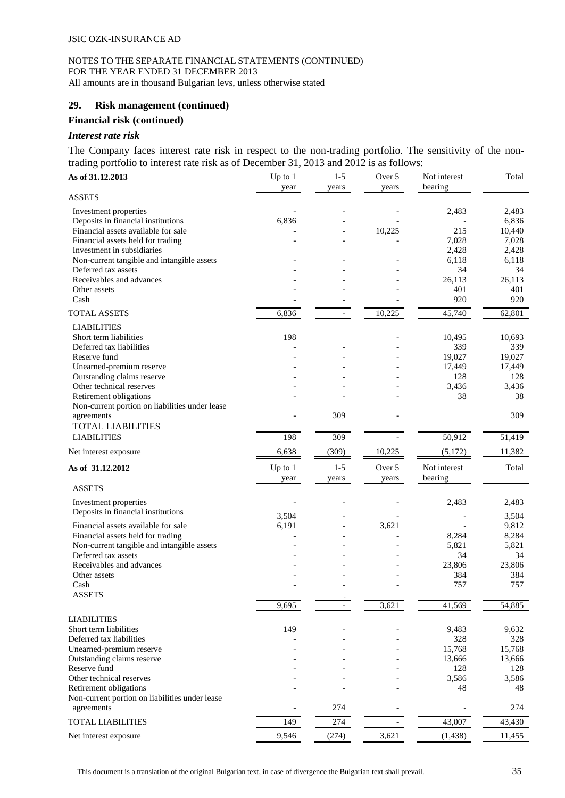## **29. Risk management (continued)**

#### **Financial risk (continued)**

## *Interest rate risk*

The Company faces interest rate risk in respect to the non-trading portfolio. The sensitivity of the nontrading portfolio to interest rate risk as of December 31, 2013 and 2012 is as follows:

| As of 31.12.2013                                                         | Up to $1$<br>year | $1 - 5$<br>years         | Over 5<br>years | Not interest<br>bearing | Total          |
|--------------------------------------------------------------------------|-------------------|--------------------------|-----------------|-------------------------|----------------|
| <b>ASSETS</b>                                                            |                   |                          |                 |                         |                |
| Investment properties                                                    |                   |                          |                 | 2,483                   | 2,483          |
| Deposits in financial institutions                                       | 6,836             |                          |                 |                         | 6,836          |
| Financial assets available for sale                                      |                   |                          | 10,225          | 215                     | 10,440         |
| Financial assets held for trading                                        |                   |                          |                 | 7,028                   | 7,028          |
| Investment in subsidiaries                                               |                   |                          |                 | 2,428                   | 2,428          |
| Non-current tangible and intangible assets                               |                   |                          |                 | 6,118                   | 6,118          |
| Deferred tax assets                                                      |                   |                          |                 | 34                      | 34             |
| Receivables and advances                                                 |                   |                          |                 | 26,113                  | 26,113         |
| Other assets                                                             |                   |                          |                 | 401                     | 401            |
| Cash                                                                     |                   |                          |                 | 920                     | 920            |
| <b>TOTAL ASSETS</b>                                                      | 6,836             | $\overline{\phantom{a}}$ | 10,225          | 45,740                  | 62,801         |
| <b>LIABILITIES</b>                                                       |                   |                          |                 |                         |                |
| Short term liabilities                                                   | 198               |                          |                 | 10,495                  | 10,693         |
| Deferred tax liabilities                                                 |                   |                          |                 | 339                     | 339            |
| Reserve fund                                                             |                   |                          |                 | 19,027                  | 19,027         |
| Unearned-premium reserve                                                 |                   |                          |                 | 17,449                  | 17,449         |
| Outstanding claims reserve                                               |                   |                          |                 | 128                     | 128            |
| Other technical reserves                                                 |                   |                          |                 | 3,436                   | 3,436          |
| Retirement obligations                                                   |                   |                          |                 | 38                      | 38             |
| Non-current portion on liabilities under lease                           |                   |                          |                 |                         |                |
| agreements<br><b>TOTAL LIABILITIES</b>                                   |                   | 309                      |                 |                         | 309            |
| <b>LIABILITIES</b>                                                       | 198               | 309                      |                 | 50,912                  | 51,419         |
| Net interest exposure                                                    | 6,638             | (309)                    | 10,225          | (5,172)                 | 11,382         |
|                                                                          |                   |                          |                 |                         |                |
| As of 31.12.2012                                                         | Up to $1$<br>year | $1 - 5$<br>years         | Over 5<br>years | Not interest<br>bearing | Total          |
| <b>ASSETS</b>                                                            |                   |                          |                 |                         |                |
| Investment properties                                                    |                   |                          |                 | 2,483                   | 2,483          |
| Deposits in financial institutions                                       | 3,504             |                          |                 |                         | 3,504          |
|                                                                          |                   |                          |                 |                         |                |
| Financial assets available for sale<br>Financial assets held for trading | 6,191             |                          | 3,621           | 8,284                   | 9,812<br>8,284 |
| Non-current tangible and intangible assets                               |                   |                          |                 | 5,821                   | 5,821          |
| Deferred tax assets                                                      |                   |                          |                 | 34                      | 34             |
| Receivables and advances                                                 |                   |                          |                 | 23,806                  | 23,806         |
| Other assets                                                             |                   |                          |                 | 384                     | 384            |
| Cash                                                                     |                   |                          |                 | 757                     | 757            |
| <b>ASSETS</b>                                                            |                   |                          |                 |                         |                |
|                                                                          | 9,695             |                          | 3,621           | 41,569                  | 54,885         |
| <b>LIABILITIES</b>                                                       |                   |                          |                 |                         |                |
| Short term liabilities                                                   | 149               |                          |                 | 9,483                   | 9,632          |
| Deferred tax liabilities                                                 |                   |                          |                 | 328                     | 328            |
| Unearned-premium reserve                                                 |                   |                          |                 | 15,768                  | 15,768         |
| Outstanding claims reserve                                               |                   |                          |                 | 13,666                  | 13,666         |
| Reserve fund                                                             |                   |                          |                 | 128                     | 128            |
| Other technical reserves                                                 |                   |                          |                 | 3,586                   | 3,586          |
| Retirement obligations                                                   |                   |                          |                 | 48                      | 48             |
| Non-current portion on liabilities under lease                           |                   |                          |                 |                         |                |
| agreements                                                               |                   | 274                      |                 |                         | 274            |
| <b>TOTAL LIABILITIES</b>                                                 | 149               | 274                      |                 | 43,007                  | 43,430         |
| Net interest exposure                                                    | 9,546             | (274)                    | 3,621           | (1, 438)                | 11,455         |

This document is a translation of the original Bulgarian text, in case of divergence the Bulgarian text shall prevail. 35